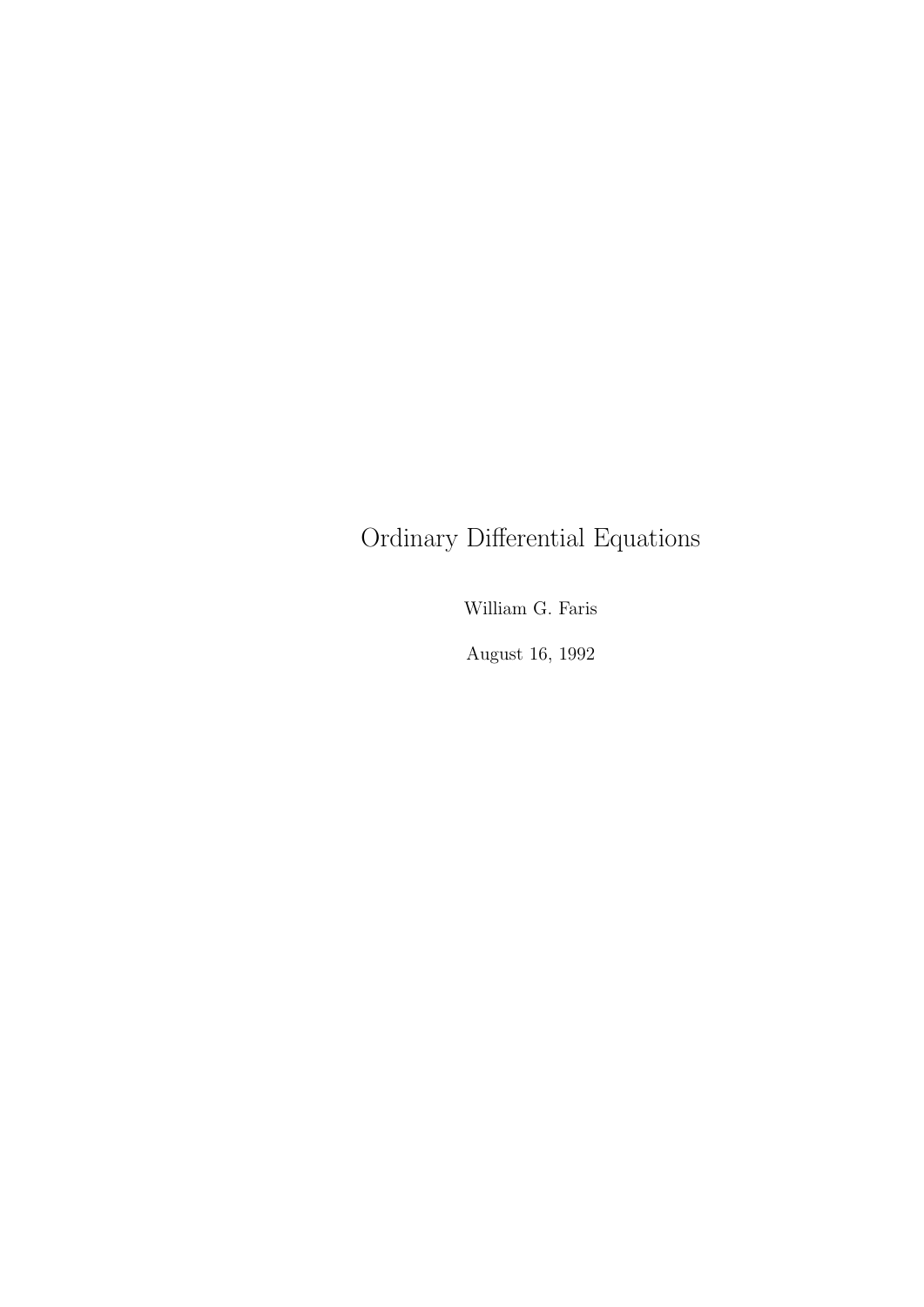# Ordinary Differential Equations

William G. Faris

August 16, 1992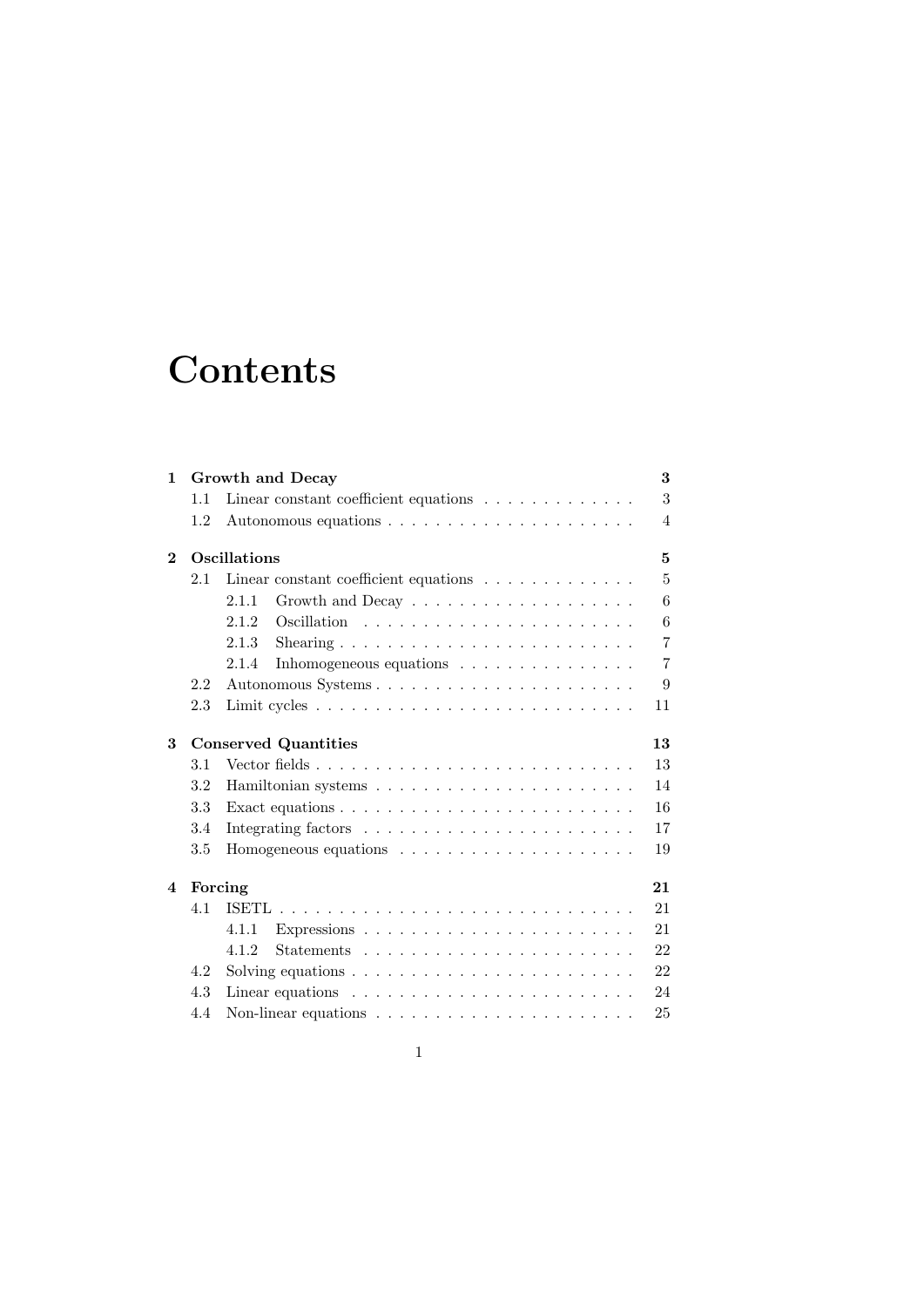# **Contents**

| $\mathbf{1}$                    |                                   | Growth and Decay                                                           | 3              |  |  |  |
|---------------------------------|-----------------------------------|----------------------------------------------------------------------------|----------------|--|--|--|
|                                 | 1.1                               | Linear constant coefficient equations $\ldots \ldots \ldots \ldots$        | 3              |  |  |  |
|                                 | 1.2                               |                                                                            | 4              |  |  |  |
| <b>Oscillations</b><br>$\bf{2}$ |                                   |                                                                            |                |  |  |  |
|                                 | 2.1                               | Linear constant coefficient equations $\ldots \ldots \ldots \ldots$        | 5              |  |  |  |
|                                 |                                   | 2.1.1                                                                      | 6              |  |  |  |
|                                 |                                   | 2.1.2                                                                      | 6              |  |  |  |
|                                 |                                   | 2.1.3                                                                      | 7              |  |  |  |
|                                 |                                   | 2.1.4<br>Inhomogeneous equations                                           | $\overline{7}$ |  |  |  |
|                                 | 2.2                               |                                                                            | 9              |  |  |  |
|                                 | 2.3                               |                                                                            | 11             |  |  |  |
| 3                               | 13<br><b>Conserved Quantities</b> |                                                                            |                |  |  |  |
|                                 | 3.1                               |                                                                            | 13             |  |  |  |
|                                 | 3.2                               |                                                                            | 14             |  |  |  |
|                                 | 3.3                               | Exact equations $\ldots \ldots \ldots \ldots \ldots \ldots \ldots \ldots$  | 16             |  |  |  |
|                                 | 3.4                               |                                                                            | 17             |  |  |  |
|                                 | 3.5                               |                                                                            | 19             |  |  |  |
| 4                               | 21<br>Forcing                     |                                                                            |                |  |  |  |
|                                 | 4.1                               |                                                                            | 21             |  |  |  |
|                                 |                                   | 4.1.1                                                                      | 21             |  |  |  |
|                                 |                                   | 4.1.2                                                                      | 22             |  |  |  |
|                                 | 4.2                               | Solving equations $\dots \dots \dots \dots \dots \dots \dots \dots \dots$  | 22             |  |  |  |
|                                 | 4.3                               | Linear equations $\ldots \ldots \ldots \ldots \ldots \ldots \ldots \ldots$ | 24             |  |  |  |
|                                 | 4.4                               | Non-linear equations $\ldots \ldots \ldots \ldots \ldots \ldots \ldots$    | 25             |  |  |  |
|                                 |                                   |                                                                            |                |  |  |  |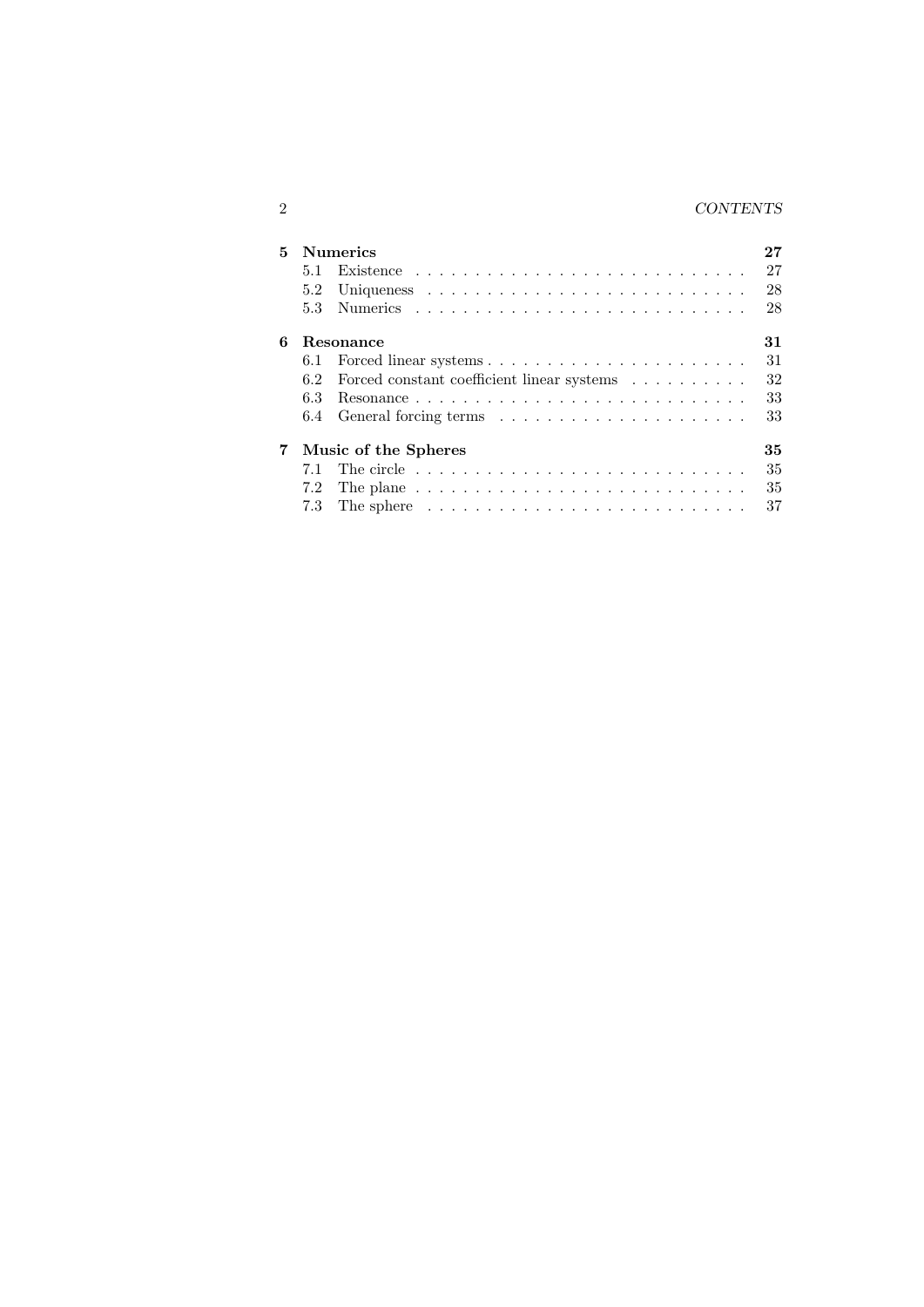## 2 CONTENTS

| 5. | <b>Numerics</b>                                                                    |    |  |  |
|----|------------------------------------------------------------------------------------|----|--|--|
|    | 5.1                                                                                | 27 |  |  |
|    | 5.2                                                                                | 28 |  |  |
|    | 5.3                                                                                | 28 |  |  |
| 6  | 31<br>Resonance                                                                    |    |  |  |
|    | 6.1                                                                                | 31 |  |  |
|    | Forced constant coefficient linear systems<br>6.2                                  | 32 |  |  |
|    | 6.3                                                                                | 33 |  |  |
|    | General forcing terms<br>6.4                                                       | 33 |  |  |
|    | Music of the Spheres<br>35                                                         |    |  |  |
|    | 7.1                                                                                | 35 |  |  |
|    | 7.2                                                                                | 35 |  |  |
|    | The sphere $\ldots \ldots \ldots \ldots \ldots \ldots \ldots \ldots \ldots$<br>7.3 | 37 |  |  |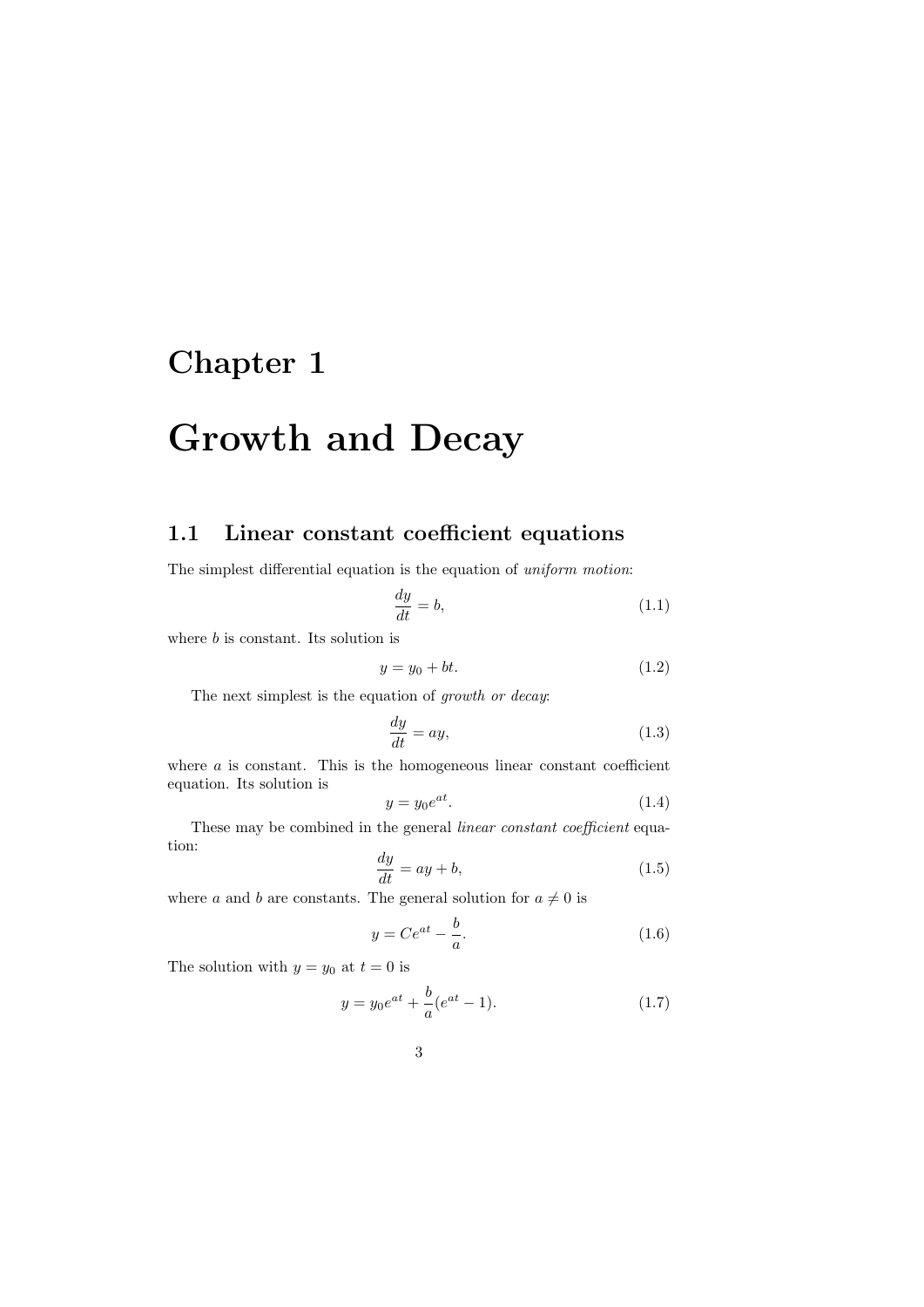## Chapter 1

# Growth and Decay

## 1.1 Linear constant coefficient equations

The simplest differential equation is the equation of uniform motion:

$$
\frac{dy}{dt} = b,\tag{1.1}
$$

where  $b$  is constant. Its solution is

$$
y = y_0 + bt.\tag{1.2}
$$

The next simplest is the equation of growth or decay:

$$
\frac{dy}{dt} = ay,\t\t(1.3)
$$

where  $a$  is constant. This is the homogeneous linear constant coefficient equation. Its solution is

$$
y = y_0 e^{at}.\tag{1.4}
$$

These may be combined in the general *linear constant coefficient* equation:

$$
\frac{dy}{dt} = ay + b,\tag{1.5}
$$

where a and b are constants. The general solution for  $a \neq 0$  is

$$
y = Ce^{at} - \frac{b}{a}.\tag{1.6}
$$

The solution with  $y = y_0$  at  $t = 0$  is

$$
y = y_0 e^{at} + \frac{b}{a} (e^{at} - 1).
$$
 (1.7)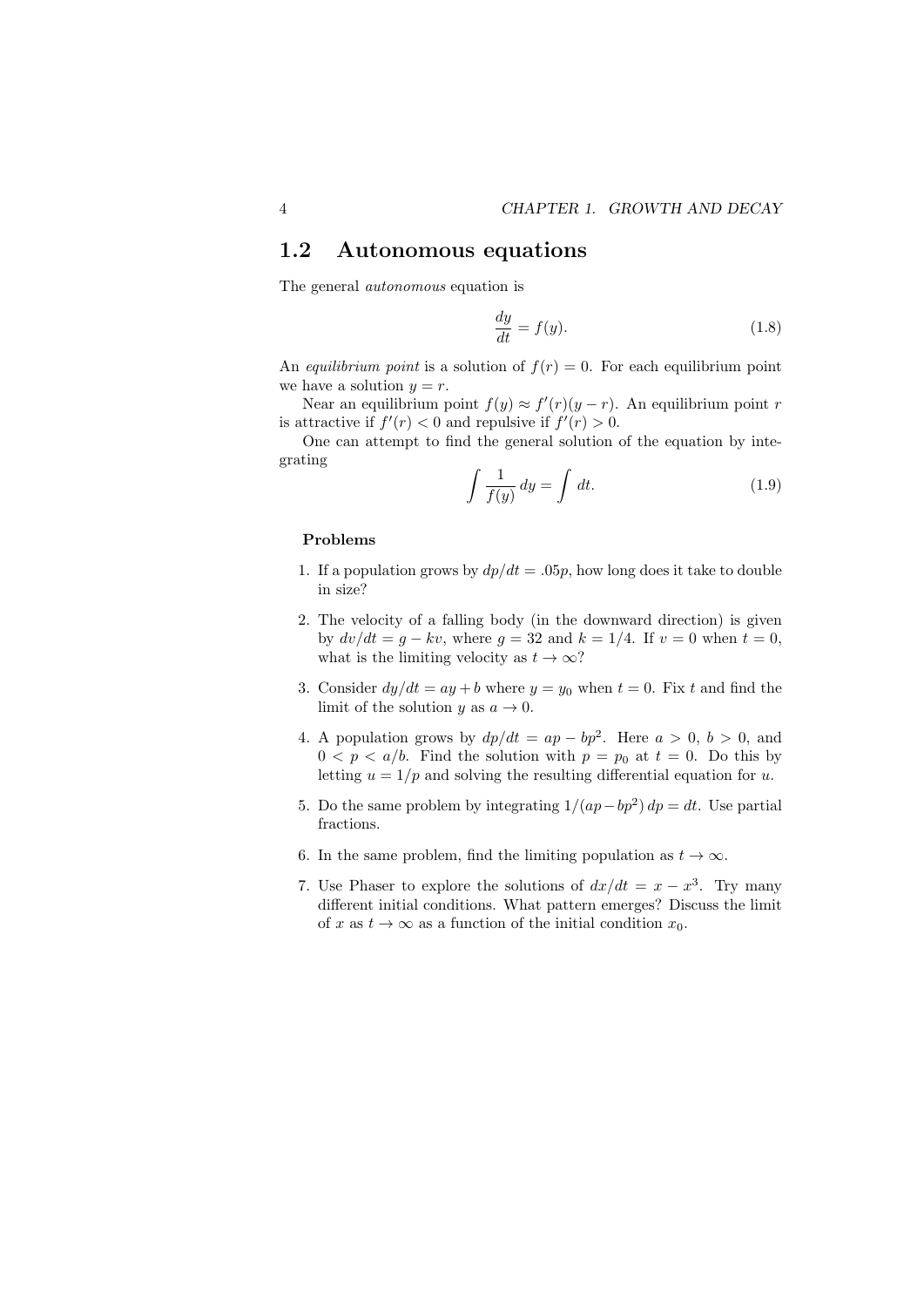### 1.2 Autonomous equations

The general autonomous equation is

$$
\frac{dy}{dt} = f(y). \tag{1.8}
$$

An *equilibrium point* is a solution of  $f(r) = 0$ . For each equilibrium point we have a solution  $y = r$ .

Near an equilibrium point  $f(y) \approx f'(r)(y - r)$ . An equilibrium point r is attractive if  $f'(r) < 0$  and repulsive if  $f'(r) > 0$ .

One can attempt to find the general solution of the equation by integrating

$$
\int \frac{1}{f(y)} dy = \int dt.
$$
\n(1.9)

#### Problems

- 1. If a population grows by  $dp/dt = .05p$ , how long does it take to double in size?
- 2. The velocity of a falling body (in the downward direction) is given by  $dv/dt = g - kv$ , where  $g = 32$  and  $k = 1/4$ . If  $v = 0$  when  $t = 0$ , what is the limiting velocity as  $t \to \infty$ ?
- 3. Consider  $dy/dt = ay + b$  where  $y = y_0$  when  $t = 0$ . Fix t and find the limit of the solution y as  $a \to 0$ .
- 4. A population grows by  $dp/dt = ap bp^2$ . Here  $a > 0, b > 0$ , and  $0 < p < a/b$ . Find the solution with  $p = p_0$  at  $t = 0$ . Do this by letting  $u = 1/p$  and solving the resulting differential equation for u.
- 5. Do the same problem by integrating  $1/(ap bp^2) dp = dt$ . Use partial fractions.
- 6. In the same problem, find the limiting population as  $t \to \infty$ .
- 7. Use Phaser to explore the solutions of  $dx/dt = x x^3$ . Try many different initial conditions. What pattern emerges? Discuss the limit of x as  $t \to \infty$  as a function of the initial condition  $x_0$ .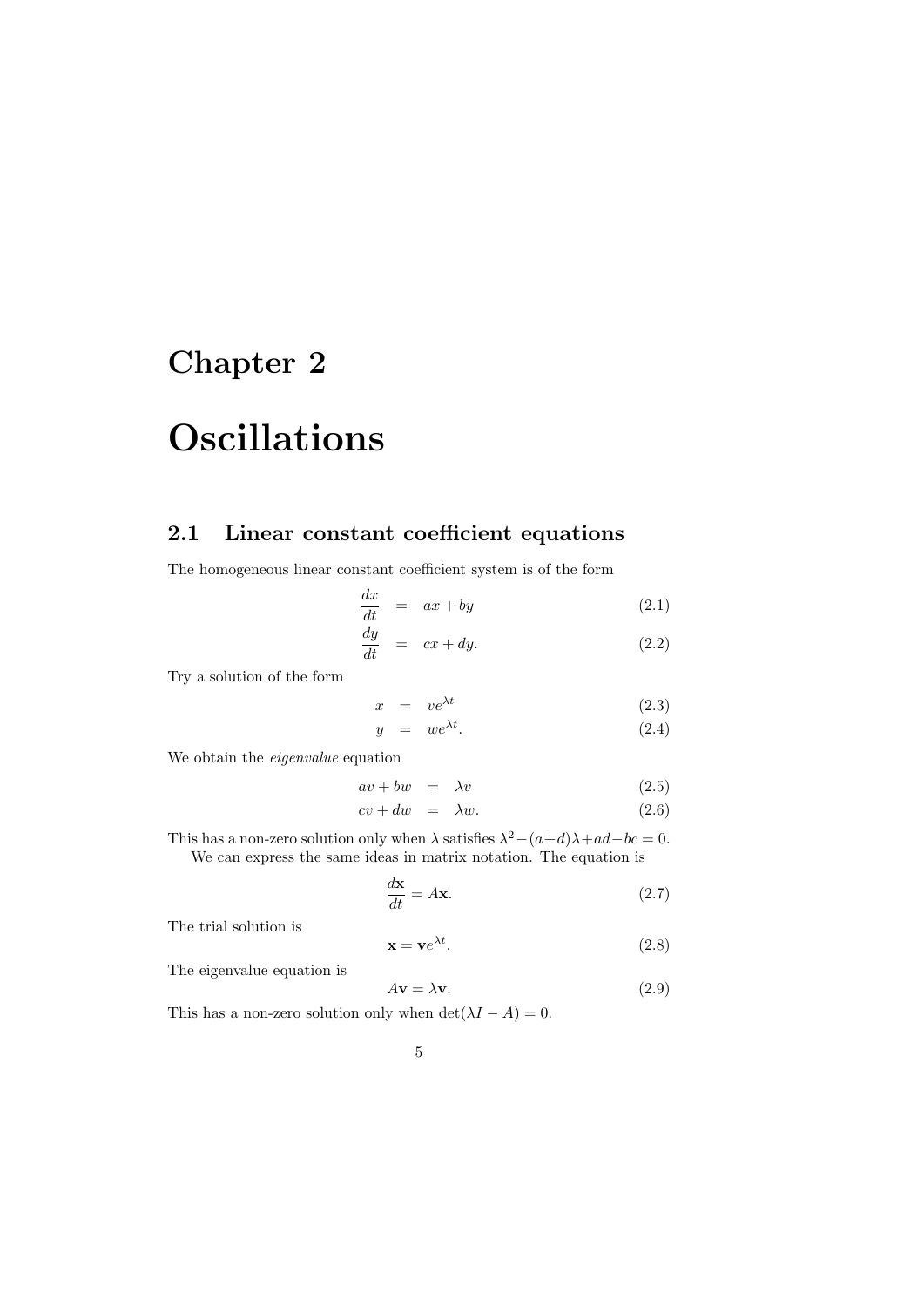## Chapter 2

# **Oscillations**

## 2.1 Linear constant coefficient equations

The homogeneous linear constant coefficient system is of the form

$$
\frac{dx}{dt} = ax + by \tag{2.1}
$$

$$
\frac{dy}{dt} = cx + dy.
$$
\n(2.2)

Try a solution of the form

$$
x = ve^{\lambda t} \tag{2.3}
$$

$$
y = we^{\lambda t}.\tag{2.4}
$$

We obtain the *eigenvalue* equation

$$
av + bw = \lambda v \tag{2.5}
$$

$$
cv + dw = \lambda w. \tag{2.6}
$$

This has a non-zero solution only when  $\lambda$  satisfies  $\lambda^2 - (a+d)\lambda + ad - bc = 0$ . We can express the same ideas in matrix notation. The equation is

$$
\frac{d\mathbf{x}}{dt} = A\mathbf{x}.\tag{2.7}
$$

The trial solution is

$$
\mathbf{x} = \mathbf{v}e^{\lambda t}.\tag{2.8}
$$

The eigenvalue equation is

$$
A\mathbf{v} = \lambda \mathbf{v}.\tag{2.9}
$$

This has a non-zero solution only when  $\det(\lambda I - A) = 0$ .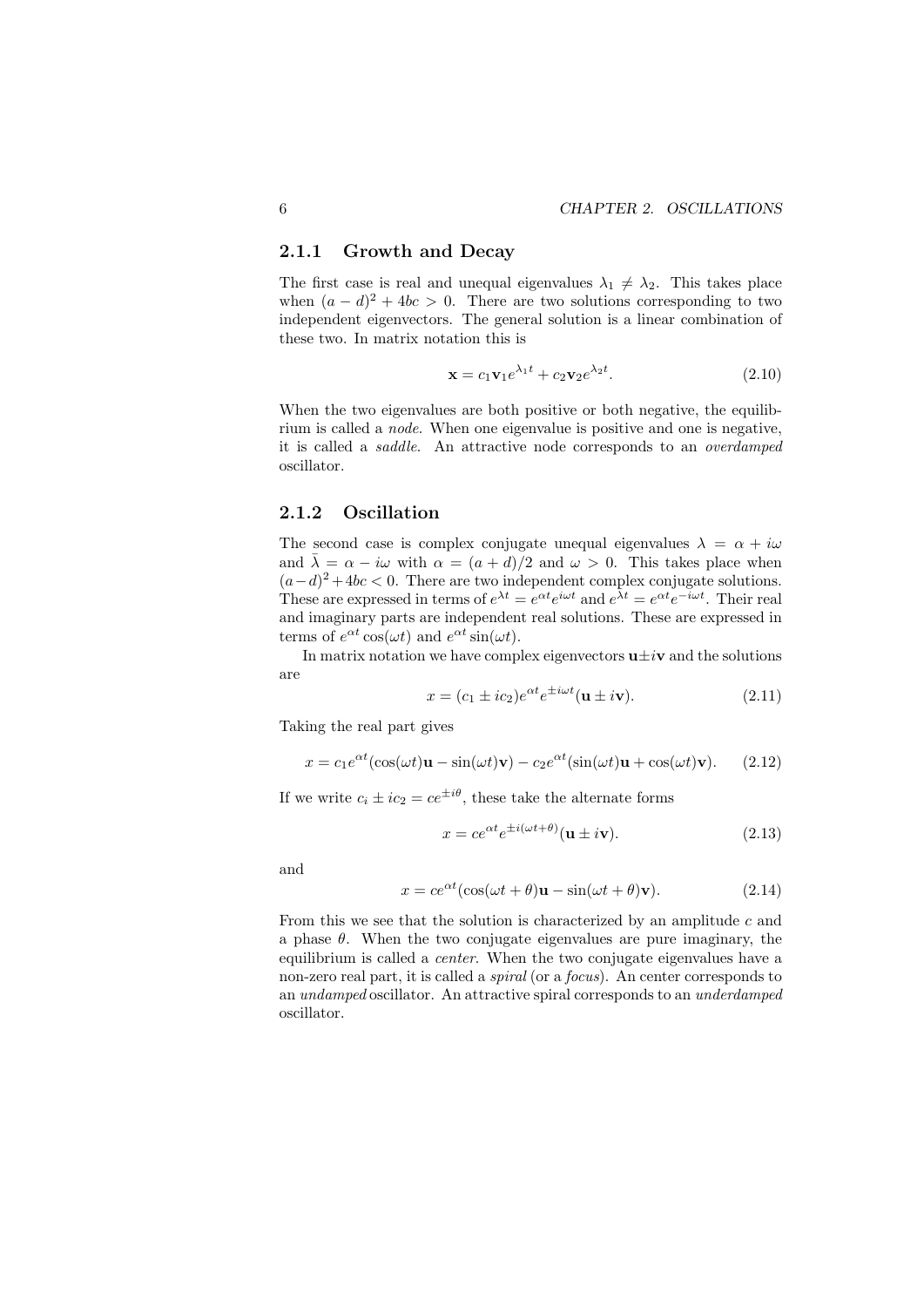#### 2.1.1 Growth and Decay

The first case is real and unequal eigenvalues  $\lambda_1 \neq \lambda_2$ . This takes place when  $(a-d)^2 + 4bc > 0$ . There are two solutions corresponding to two independent eigenvectors. The general solution is a linear combination of these two. In matrix notation this is

$$
\mathbf{x} = c_1 \mathbf{v}_1 e^{\lambda_1 t} + c_2 \mathbf{v}_2 e^{\lambda_2 t}.\tag{2.10}
$$

When the two eigenvalues are both positive or both negative, the equilibrium is called a node. When one eigenvalue is positive and one is negative, it is called a saddle. An attractive node corresponds to an overdamped oscillator.

#### 2.1.2 Oscillation

The second case is complex conjugate unequal eigenvalues  $\lambda = \alpha + i\omega$ and  $\bar{\lambda} = \alpha - i\omega$  with  $\alpha = (a + d)/2$  and  $\omega > 0$ . This takes place when  $(a-d)^2 + 4bc < 0$ . There are two independent complex conjugate solutions. These are expressed in terms of  $e^{\lambda t} = e^{\alpha t}e^{i\omega t}$  and  $e^{\lambda t} = e^{\alpha t}e^{-i\omega t}$ . Their real and imaginary parts are independent real solutions. These are expressed in terms of  $e^{\alpha t}$  cos( $\omega t$ ) and  $e^{\alpha t}$  sin( $\omega t$ ).

In matrix notation we have complex eigenvectors  $\mathbf{u}\pm i\mathbf{v}$  and the solutions are

$$
x = (c_1 \pm ic_2)e^{\alpha t}e^{\pm i\omega t}(\mathbf{u} \pm i\mathbf{v}).
$$
\n(2.11)

Taking the real part gives

$$
x = c_1 e^{\alpha t} (\cos(\omega t) \mathbf{u} - \sin(\omega t) \mathbf{v}) - c_2 e^{\alpha t} (\sin(\omega t) \mathbf{u} + \cos(\omega t) \mathbf{v}). \tag{2.12}
$$

If we write  $c_i \pm i c_2 = c e^{\pm i \theta}$ , these take the alternate forms

$$
x = ce^{\alpha t}e^{\pm i(\omega t + \theta)}(\mathbf{u} \pm i\mathbf{v}).\tag{2.13}
$$

and

$$
x = ce^{\alpha t}(\cos(\omega t + \theta)\mathbf{u} - \sin(\omega t + \theta)\mathbf{v}).
$$
\n(2.14)

From this we see that the solution is characterized by an amplitude  $c$  and a phase  $\theta$ . When the two conjugate eigenvalues are pure imaginary, the equilibrium is called a center. When the two conjugate eigenvalues have a non-zero real part, it is called a *spiral* (or a *focus*). An center corresponds to an undamped oscillator. An attractive spiral corresponds to an underdamped oscillator.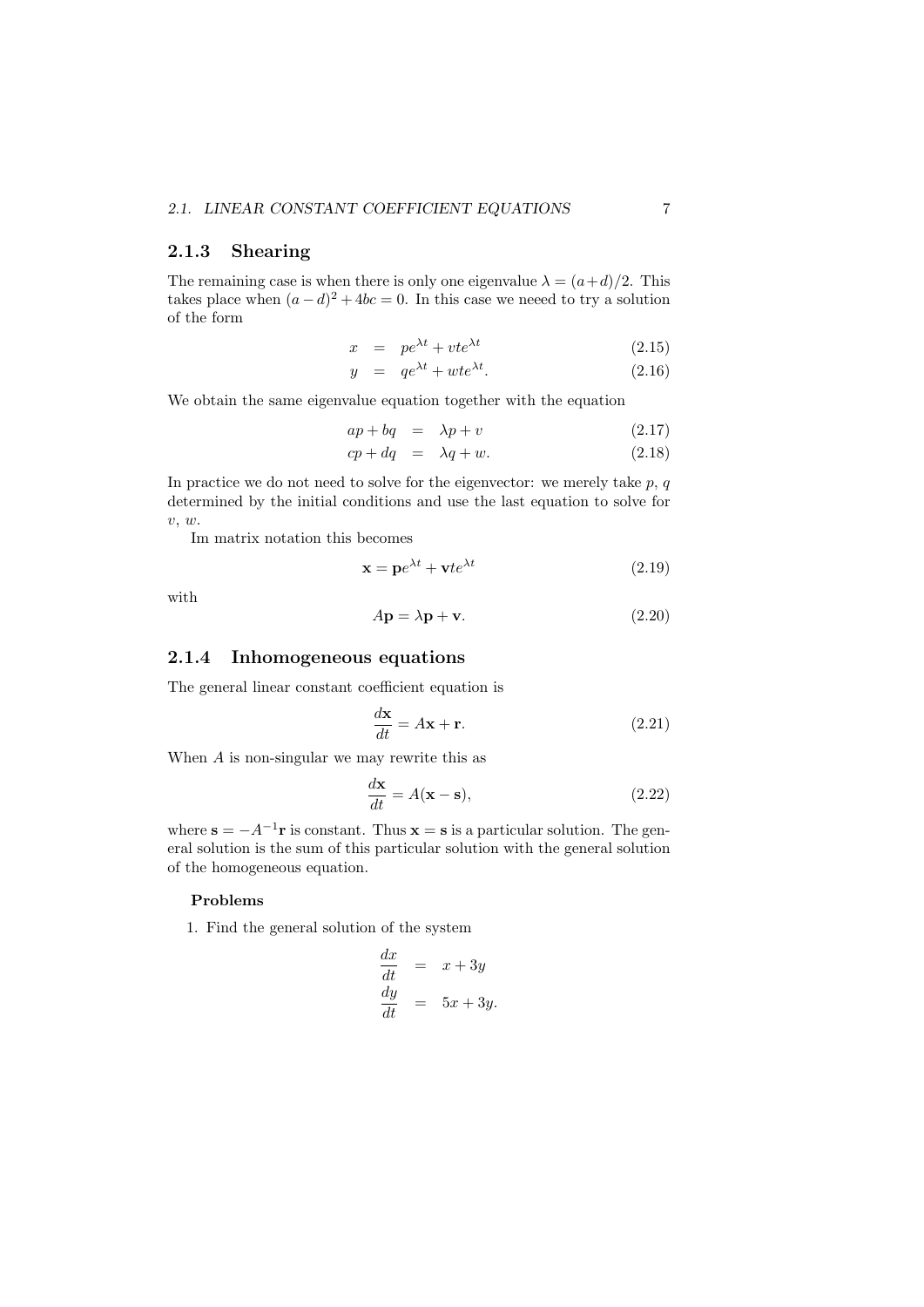#### 2.1. LINEAR CONSTANT COEFFICIENT EQUATIONS 7

### 2.1.3 Shearing

The remaining case is when there is only one eigenvalue  $\lambda = (a+d)/2$ . This takes place when  $(a-d)^2 + 4bc = 0$ . In this case we neeed to try a solution of the form

$$
x = pe^{\lambda t} + vte^{\lambda t} \tag{2.15}
$$

$$
y = qe^{\lambda t} + wte^{\lambda t}.
$$
 (2.16)

We obtain the same eigenvalue equation together with the equation

$$
ap + bq = \lambda p + v \tag{2.17}
$$

$$
cp + dq = \lambda q + w. \tag{2.18}
$$

In practice we do not need to solve for the eigenvector: we merely take  $p, q$ determined by the initial conditions and use the last equation to solve for v, w.

Im matrix notation this becomes

$$
\mathbf{x} = \mathbf{p}e^{\lambda t} + \mathbf{v}te^{\lambda t} \tag{2.19}
$$

with

$$
A\mathbf{p} = \lambda \mathbf{p} + \mathbf{v}.\tag{2.20}
$$

#### 2.1.4 Inhomogeneous equations

The general linear constant coefficient equation is

$$
\frac{d\mathbf{x}}{dt} = A\mathbf{x} + \mathbf{r}.\tag{2.21}
$$

When A is non-singular we may rewrite this as

$$
\frac{d\mathbf{x}}{dt} = A(\mathbf{x} - \mathbf{s}),\tag{2.22}
$$

where  $\mathbf{s} = -A^{-1}\mathbf{r}$  is constant. Thus  $\mathbf{x} = \mathbf{s}$  is a particular solution. The general solution is the sum of this particular solution with the general solution of the homogeneous equation.

#### Problems

1. Find the general solution of the system

$$
\begin{array}{rcl}\n\frac{dx}{dt} & = & x + 3y \\
\frac{dy}{dt} & = & 5x + 3y.\n\end{array}
$$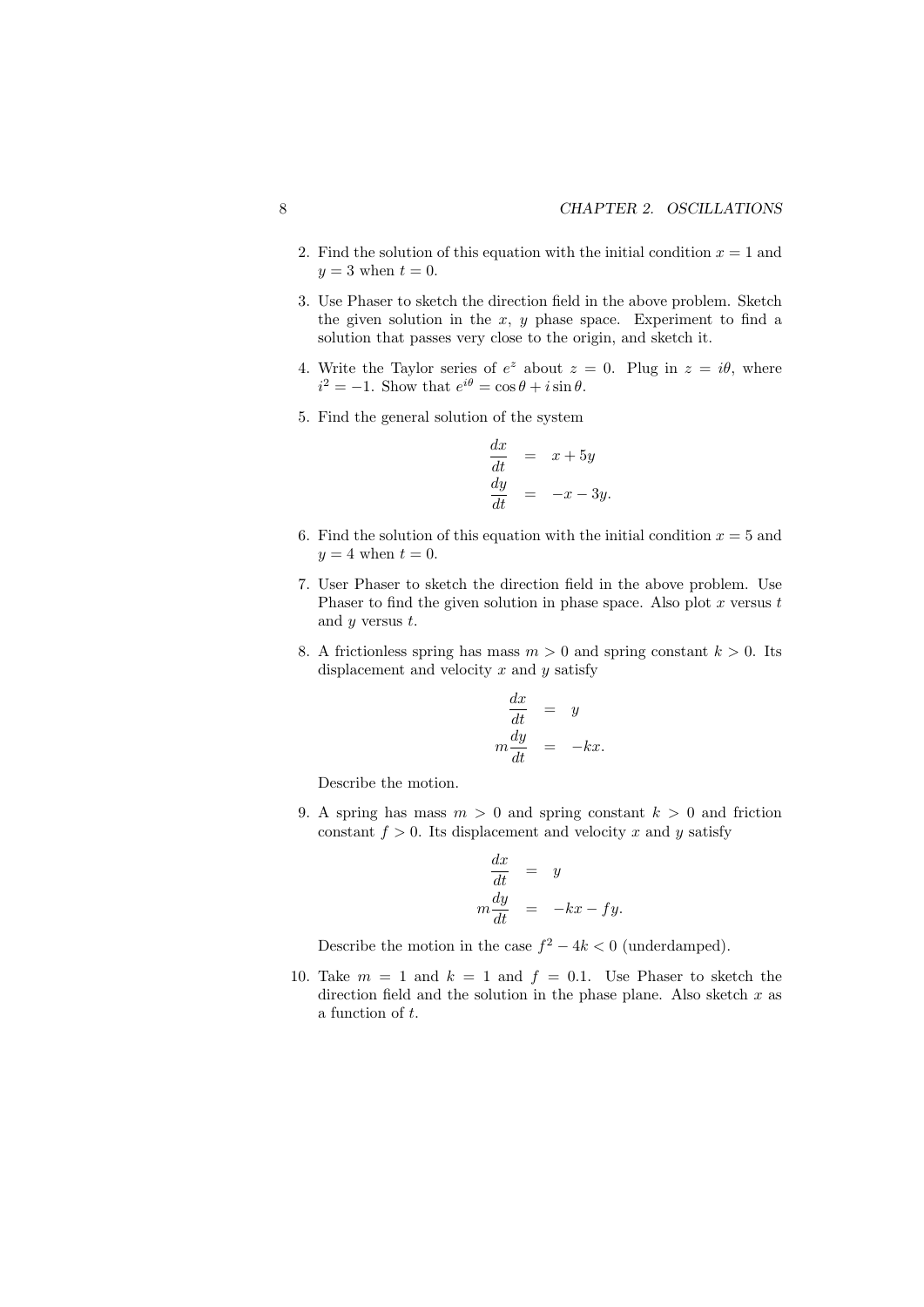- 2. Find the solution of this equation with the initial condition  $x = 1$  and  $y = 3$  when  $t = 0$ .
- 3. Use Phaser to sketch the direction field in the above problem. Sketch the given solution in the  $x, y$  phase space. Experiment to find a solution that passes very close to the origin, and sketch it.
- 4. Write the Taylor series of  $e^z$  about  $z = 0$ . Plug in  $z = i\theta$ , where  $i^2 = -1$ . Show that  $e^{i\theta} = \cos \theta + i \sin \theta$ .
- 5. Find the general solution of the system

$$
\begin{array}{rcl}\n\frac{dx}{dt} & = & x + 5y \\
\frac{dy}{dt} & = & -x - 3y.\n\end{array}
$$

- 6. Find the solution of this equation with the initial condition  $x = 5$  and  $y = 4$  when  $t = 0$ .
- 7. User Phaser to sketch the direction field in the above problem. Use Phaser to find the given solution in phase space. Also plot  $x$  versus  $t$ and  $y$  versus  $t$ .
- 8. A frictionless spring has mass  $m > 0$  and spring constant  $k > 0$ . Its displacement and velocity  $x$  and  $y$  satisfy

$$
\frac{dx}{dt} = y
$$
  

$$
m\frac{dy}{dt} = -kx.
$$

Describe the motion.

9. A spring has mass  $m > 0$  and spring constant  $k > 0$  and friction constant  $f > 0$ . Its displacement and velocity x and y satisfy

$$
\frac{dx}{dt} = y
$$
  
\n
$$
m\frac{dy}{dt} = -kx - fy.
$$

Describe the motion in the case  $f^2 - 4k < 0$  (underdamped).

10. Take  $m = 1$  and  $k = 1$  and  $f = 0.1$ . Use Phaser to sketch the direction field and the solution in the phase plane. Also sketch  $x$  as a function of t.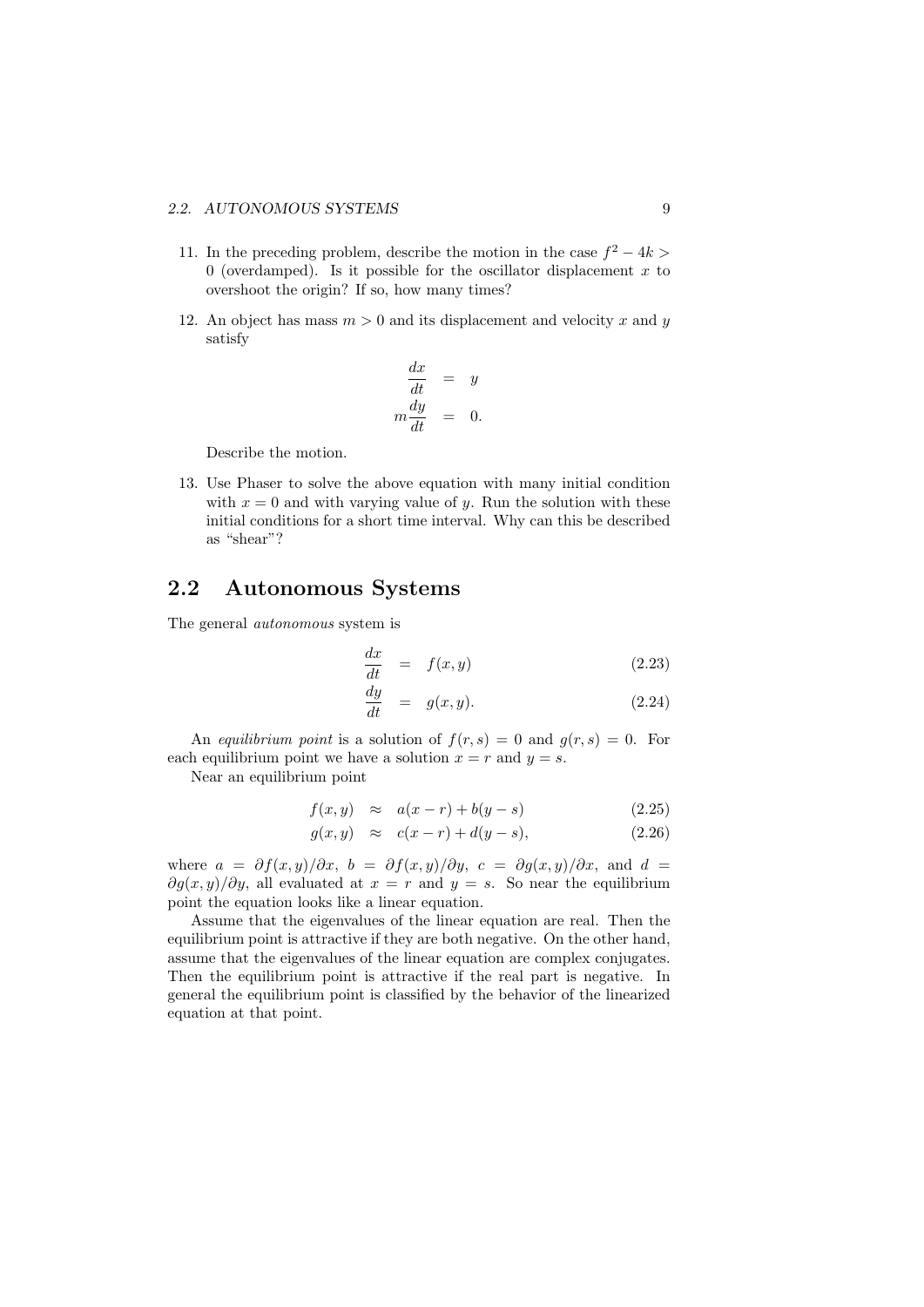#### 2.2. AUTONOMOUS SYSTEMS 9

- 11. In the preceding problem, describe the motion in the case  $f^2 4k$ 0 (overdamped). Is it possible for the oscillator displacement x to overshoot the origin? If so, how many times?
- 12. An object has mass  $m > 0$  and its displacement and velocity x and y satisfy

$$
\frac{dx}{dt} = y
$$
  

$$
m\frac{dy}{dt} = 0.
$$

Describe the motion.

13. Use Phaser to solve the above equation with many initial condition with  $x = 0$  and with varying value of y. Run the solution with these initial conditions for a short time interval. Why can this be described as "shear"?

## 2.2 Autonomous Systems

The general autonomous system is

$$
\frac{dx}{dt} = f(x, y) \tag{2.23}
$$

$$
\frac{dy}{dt} = g(x, y). \tag{2.24}
$$

An *equilibrium point* is a solution of  $f(r, s) = 0$  and  $g(r, s) = 0$ . For each equilibrium point we have a solution  $x = r$  and  $y = s$ .

Near an equilibrium point

$$
f(x,y) \approx a(x-r) + b(y-s) \tag{2.25}
$$

$$
g(x,y) \approx c(x-r) + d(y-s), \qquad (2.26)
$$

where  $a = \partial f(x, y)/\partial x$ ,  $b = \partial f(x, y)/\partial y$ ,  $c = \partial g(x, y)/\partial x$ , and  $d =$  $\partial g(x, y)/\partial y$ , all evaluated at  $x = r$  and  $y = s$ . So near the equilibrium point the equation looks like a linear equation.

Assume that the eigenvalues of the linear equation are real. Then the equilibrium point is attractive if they are both negative. On the other hand, assume that the eigenvalues of the linear equation are complex conjugates. Then the equilibrium point is attractive if the real part is negative. In general the equilibrium point is classified by the behavior of the linearized equation at that point.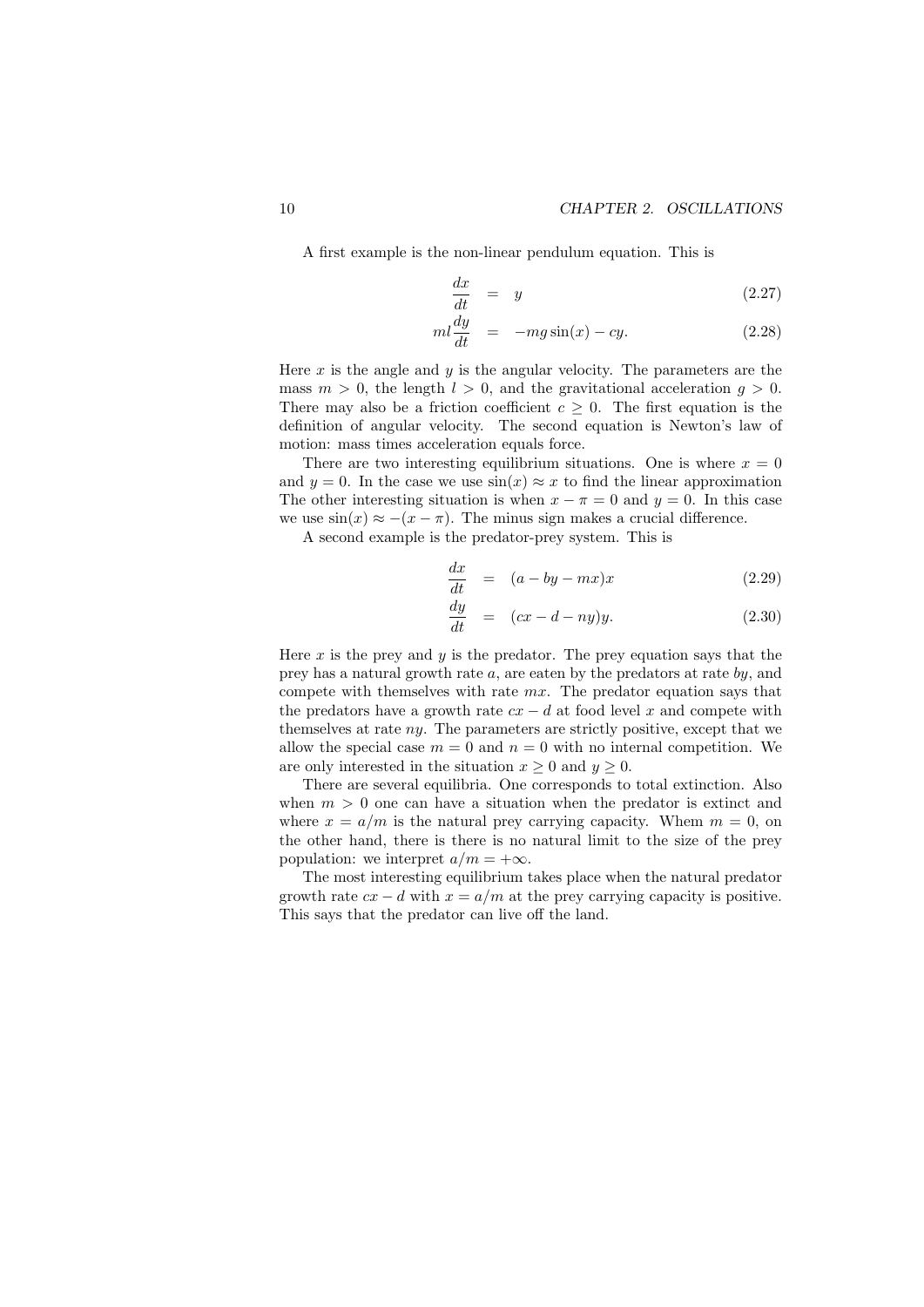A first example is the non-linear pendulum equation. This is

$$
\frac{dx}{dt} = y \tag{2.27}
$$

$$
ml\frac{dy}{dt} = -mg\sin(x) - cy.\tag{2.28}
$$

Here x is the angle and y is the angular velocity. The parameters are the mass  $m > 0$ , the length  $l > 0$ , and the gravitational acceleration  $q > 0$ . There may also be a friction coefficient  $c \geq 0$ . The first equation is the definition of angular velocity. The second equation is Newton's law of motion: mass times acceleration equals force.

There are two interesting equilibrium situations. One is where  $x = 0$ and  $y = 0$ . In the case we use  $sin(x) \approx x$  to find the linear approximation The other interesting situation is when  $x - \pi = 0$  and  $y = 0$ . In this case we use  $\sin(x) \approx -(x - \pi)$ . The minus sign makes a crucial difference.

A second example is the predator-prey system. This is

$$
\frac{dx}{dt} = (a - by - mx)x \tag{2.29}
$$

$$
\frac{dy}{dt} = (cx - d - ny)y.
$$
\n(2.30)

Here  $x$  is the prey and  $y$  is the predator. The prey equation says that the prey has a natural growth rate  $a$ , are eaten by the predators at rate  $by$ , and compete with themselves with rate  $mx$ . The predator equation says that the predators have a growth rate  $cx - d$  at food level x and compete with themselves at rate ny. The parameters are strictly positive, except that we allow the special case  $m = 0$  and  $n = 0$  with no internal competition. We are only interested in the situation  $x \geq 0$  and  $y \geq 0$ .

There are several equilibria. One corresponds to total extinction. Also when  $m > 0$  one can have a situation when the predator is extinct and where  $x = a/m$  is the natural prey carrying capacity. When  $m = 0$ , on the other hand, there is there is no natural limit to the size of the prey population: we interpret  $a/m = +\infty$ .

The most interesting equilibrium takes place when the natural predator growth rate  $cx - d$  with  $x = a/m$  at the prey carrying capacity is positive. This says that the predator can live off the land.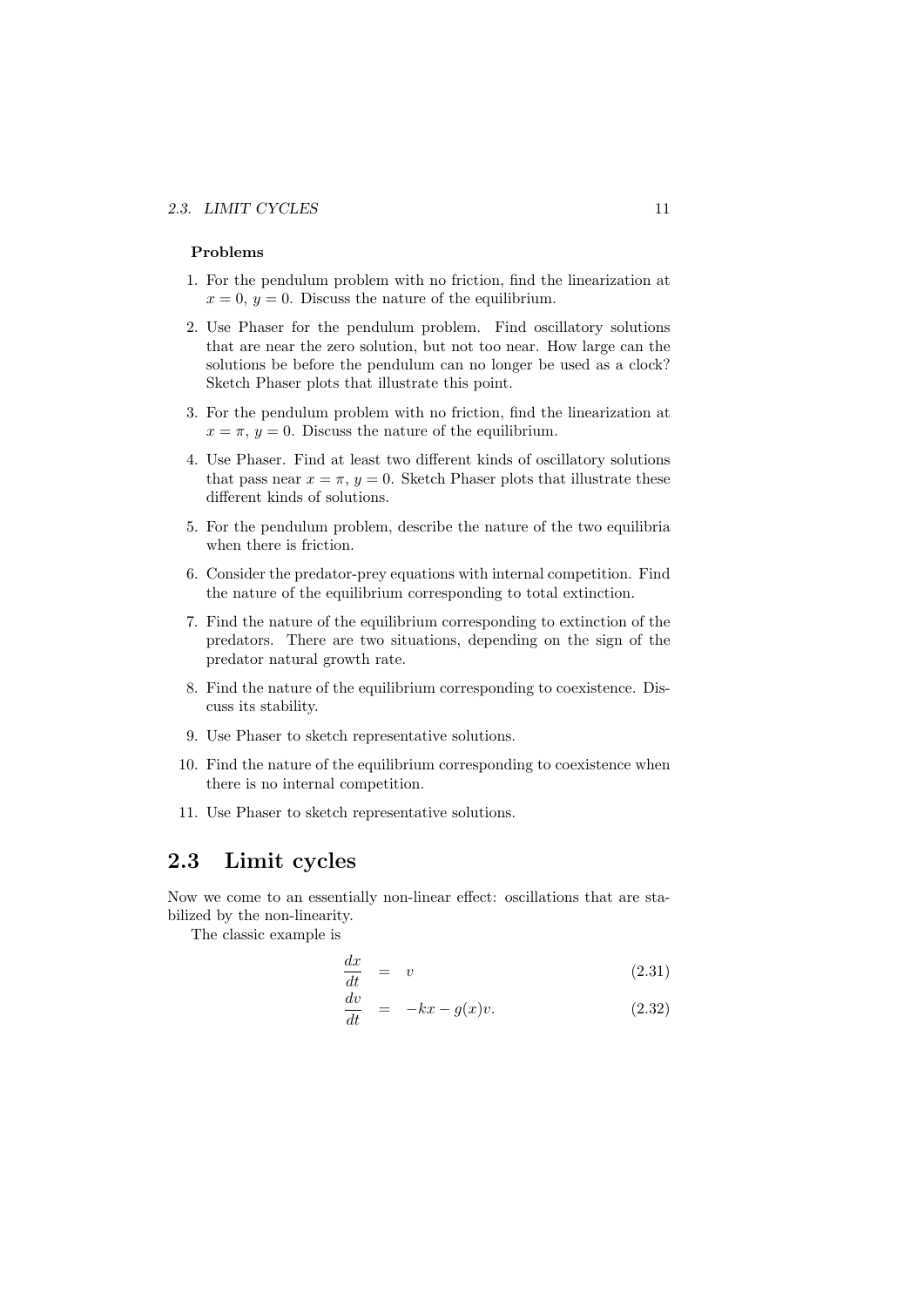#### 2.3. LIMIT CYCLES 11

#### Problems

- 1. For the pendulum problem with no friction, find the linearization at  $x = 0, y = 0$ . Discuss the nature of the equilibrium.
- 2. Use Phaser for the pendulum problem. Find oscillatory solutions that are near the zero solution, but not too near. How large can the solutions be before the pendulum can no longer be used as a clock? Sketch Phaser plots that illustrate this point.
- 3. For the pendulum problem with no friction, find the linearization at  $x = \pi$ ,  $y = 0$ . Discuss the nature of the equilibrium.
- 4. Use Phaser. Find at least two different kinds of oscillatory solutions that pass near  $x = \pi$ ,  $y = 0$ . Sketch Phaser plots that illustrate these different kinds of solutions.
- 5. For the pendulum problem, describe the nature of the two equilibria when there is friction.
- 6. Consider the predator-prey equations with internal competition. Find the nature of the equilibrium corresponding to total extinction.
- 7. Find the nature of the equilibrium corresponding to extinction of the predators. There are two situations, depending on the sign of the predator natural growth rate.
- 8. Find the nature of the equilibrium corresponding to coexistence. Discuss its stability.
- 9. Use Phaser to sketch representative solutions.
- 10. Find the nature of the equilibrium corresponding to coexistence when there is no internal competition.
- 11. Use Phaser to sketch representative solutions.

### 2.3 Limit cycles

Now we come to an essentially non-linear effect: oscillations that are stabilized by the non-linearity.

The classic example is

$$
\frac{dx}{dt} = v \tag{2.31}
$$

$$
\frac{dv}{dt} = -kx - g(x)v.
$$
\n(2.32)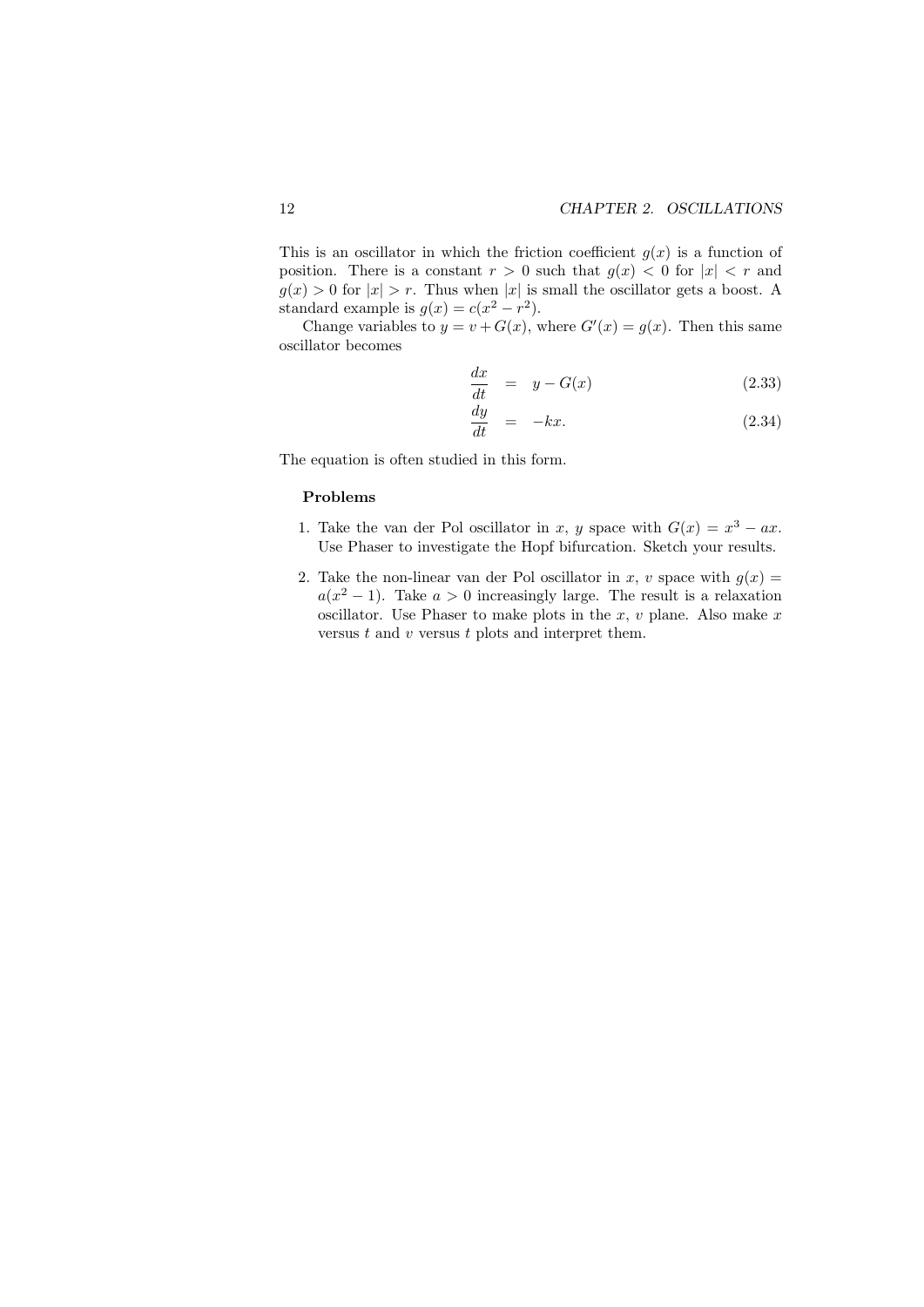This is an oscillator in which the friction coefficient  $q(x)$  is a function of position. There is a constant  $r > 0$  such that  $g(x) < 0$  for  $|x| < r$  and  $g(x) > 0$  for  $|x| > r$ . Thus when  $|x|$  is small the oscillator gets a boost. A standard example is  $g(x) = c(x^2 - r^2)$ .

Change variables to  $y = v + G(x)$ , where  $G'(x) = g(x)$ . Then this same oscillator becomes

$$
\frac{dx}{dt} = y - G(x) \tag{2.33}
$$

$$
\frac{dy}{dt} = -kx.\tag{2.34}
$$

The equation is often studied in this form.

#### Problems

- 1. Take the van der Pol oscillator in x, y space with  $G(x) = x^3 ax$ . Use Phaser to investigate the Hopf bifurcation. Sketch your results.
- 2. Take the non-linear van der Pol oscillator in x, v space with  $g(x) =$  $a(x^2 - 1)$ . Take  $a > 0$  increasingly large. The result is a relaxation oscillator. Use Phaser to make plots in the  $x, v$  plane. Also make  $x$ versus  $t$  and  $v$  versus  $t$  plots and interpret them.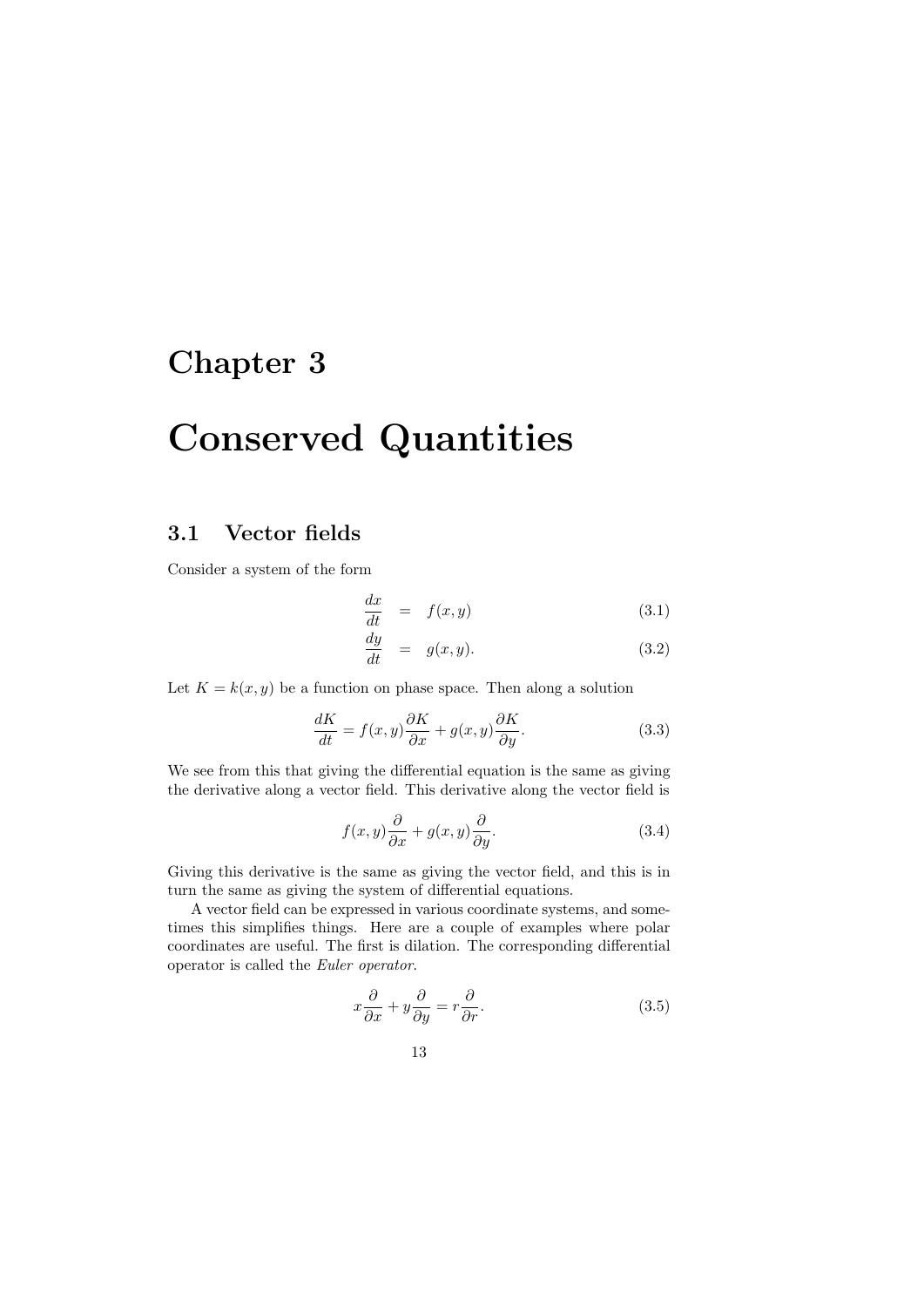## Chapter 3

# Conserved Quantities

### 3.1 Vector fields

Consider a system of the form

$$
\frac{dx}{dt} = f(x, y) \tag{3.1}
$$

$$
\frac{dy}{dt} = g(x, y). \tag{3.2}
$$

Let  $K = k(x, y)$  be a function on phase space. Then along a solution

$$
\frac{dK}{dt} = f(x, y)\frac{\partial K}{\partial x} + g(x, y)\frac{\partial K}{\partial y}.\tag{3.3}
$$

We see from this that giving the differential equation is the same as giving the derivative along a vector field. This derivative along the vector field is

$$
f(x,y)\frac{\partial}{\partial x} + g(x,y)\frac{\partial}{\partial y}.\tag{3.4}
$$

Giving this derivative is the same as giving the vector field, and this is in turn the same as giving the system of differential equations.

A vector field can be expressed in various coordinate systems, and sometimes this simplifies things. Here are a couple of examples where polar coordinates are useful. The first is dilation. The corresponding differential operator is called the Euler operator.

$$
x\frac{\partial}{\partial x} + y\frac{\partial}{\partial y} = r\frac{\partial}{\partial r}.
$$
 (3.5)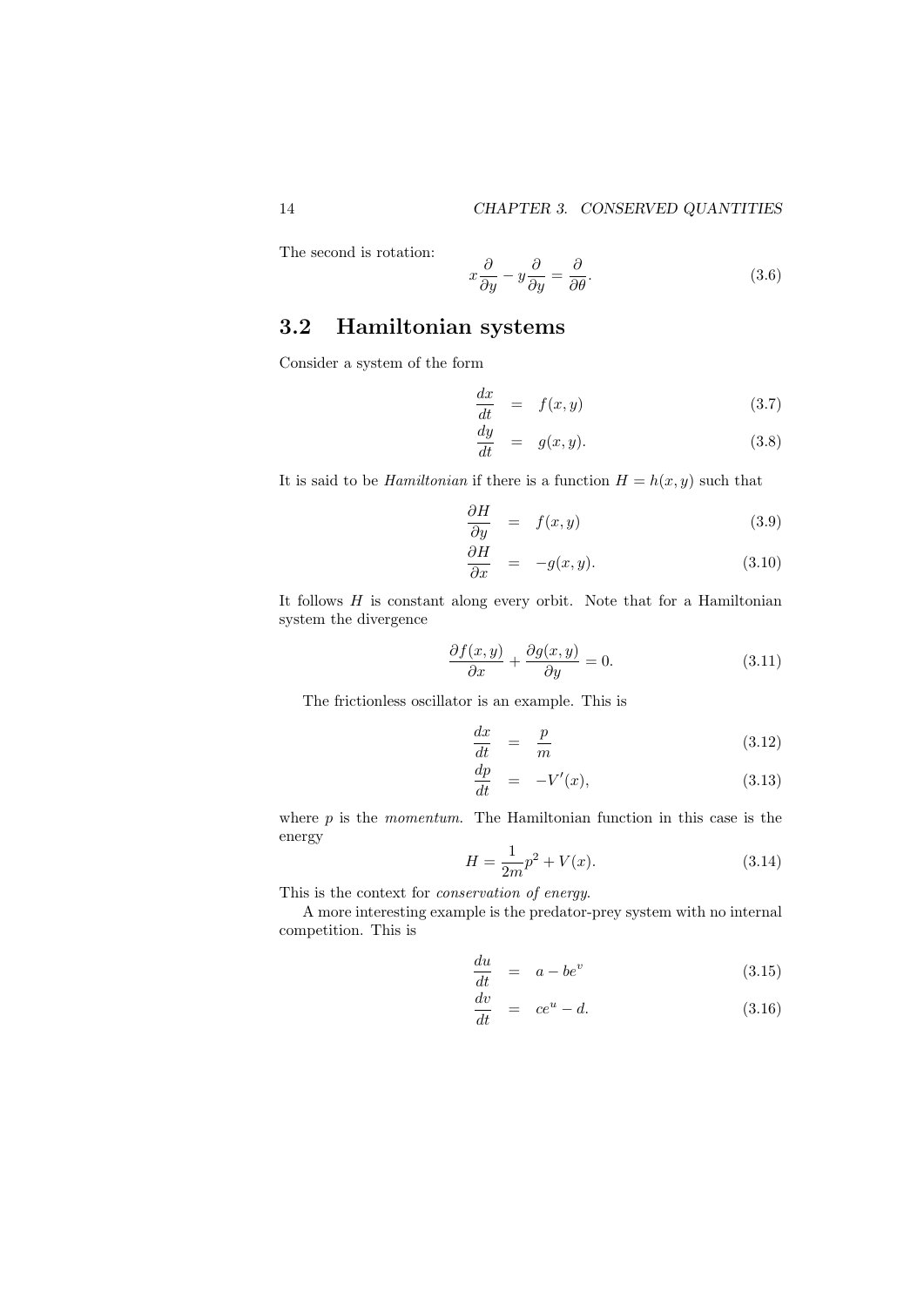The second is rotation:

$$
x\frac{\partial}{\partial y} - y\frac{\partial}{\partial y} = \frac{\partial}{\partial \theta}.
$$
 (3.6)

3.2 Hamiltonian systems

Consider a system of the form

$$
\frac{dx}{dt} = f(x, y) \tag{3.7}
$$

$$
\frac{dy}{dt} = g(x, y). \tag{3.8}
$$

It is said to be *Hamiltonian* if there is a function  $H = h(x, y)$  such that

$$
\frac{\partial H}{\partial y} = f(x, y) \tag{3.9}
$$

$$
\frac{\partial H}{\partial x} = -g(x, y). \tag{3.10}
$$

It follows  $H$  is constant along every orbit. Note that for a Hamiltonian system the divergence

$$
\frac{\partial f(x,y)}{\partial x} + \frac{\partial g(x,y)}{\partial y} = 0.
$$
\n(3.11)

The frictionless oscillator is an example. This is

$$
\frac{dx}{dt} = \frac{p}{m} \tag{3.12}
$$

$$
\frac{dp}{dt} = -V'(x),\tag{3.13}
$$

where  $p$  is the *momentum*. The Hamiltonian function in this case is the energy

$$
H = \frac{1}{2m}p^2 + V(x).
$$
 (3.14)

This is the context for conservation of energy.

A more interesting example is the predator-prey system with no internal competition. This is

$$
\frac{du}{dt} = a - be^v \tag{3.15}
$$

$$
\frac{dv}{dt} = ce^u - d.
$$
\n(3.16)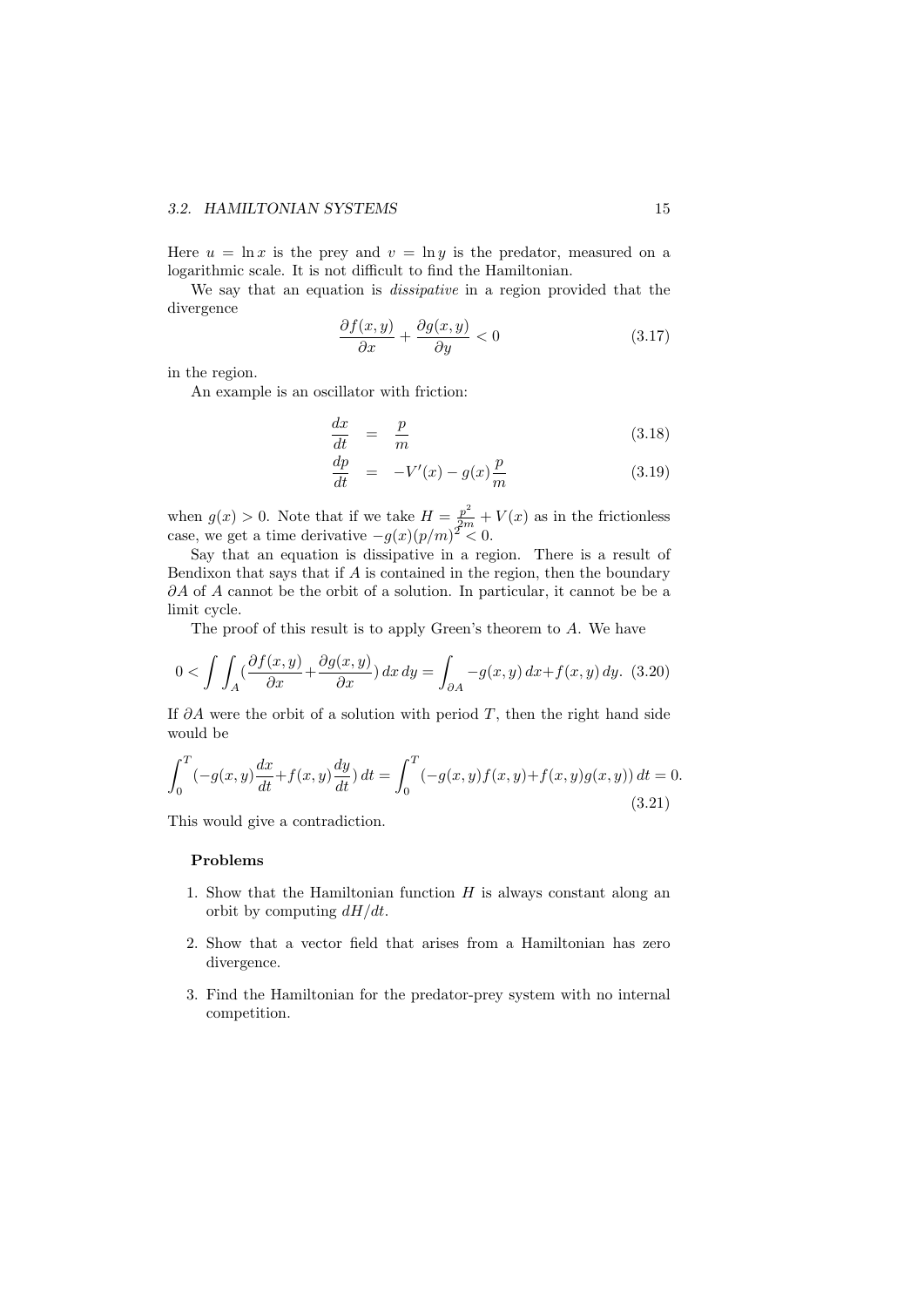Here  $u = \ln x$  is the prey and  $v = \ln y$  is the predator, measured on a logarithmic scale. It is not difficult to find the Hamiltonian.

We say that an equation is *dissipative* in a region provided that the divergence

$$
\frac{\partial f(x,y)}{\partial x} + \frac{\partial g(x,y)}{\partial y} < 0 \tag{3.17}
$$

in the region.

An example is an oscillator with friction:

$$
\frac{dx}{dt} = \frac{p}{m} \tag{3.18}
$$

$$
\frac{dp}{dt} = -V'(x) - g(x)\frac{p}{m} \tag{3.19}
$$

when  $g(x) > 0$ . Note that if we take  $H = \frac{p^2}{2m} + V(x)$  as in the frictionless case, we get a time derivative  $-g(x)(p/m)^{2} < 0$ .

Say that an equation is dissipative in a region. There is a result of Bendixon that says that if  $A$  is contained in the region, then the boundary ∂A of A cannot be the orbit of a solution. In particular, it cannot be be a limit cycle.

The proof of this result is to apply Green's theorem to A. We have

$$
0 < \int \int_A \left(\frac{\partial f(x,y)}{\partial x} + \frac{\partial g(x,y)}{\partial x}\right) dx \, dy = \int_{\partial A} -g(x,y) \, dx + f(x,y) \, dy. \tag{3.20}
$$

If  $\partial A$  were the orbit of a solution with period T, then the right hand side would be

$$
\int_0^T (-g(x,y)\frac{dx}{dt} + f(x,y)\frac{dy}{dt}) dt = \int_0^T (-g(x,y)f(x,y) + f(x,y)g(x,y)) dt = 0.
$$
\n(3.21)

This would give a contradiction.

#### Problems

- 1. Show that the Hamiltonian function  $H$  is always constant along an orbit by computing  $dH/dt$ .
- 2. Show that a vector field that arises from a Hamiltonian has zero divergence.
- 3. Find the Hamiltonian for the predator-prey system with no internal competition.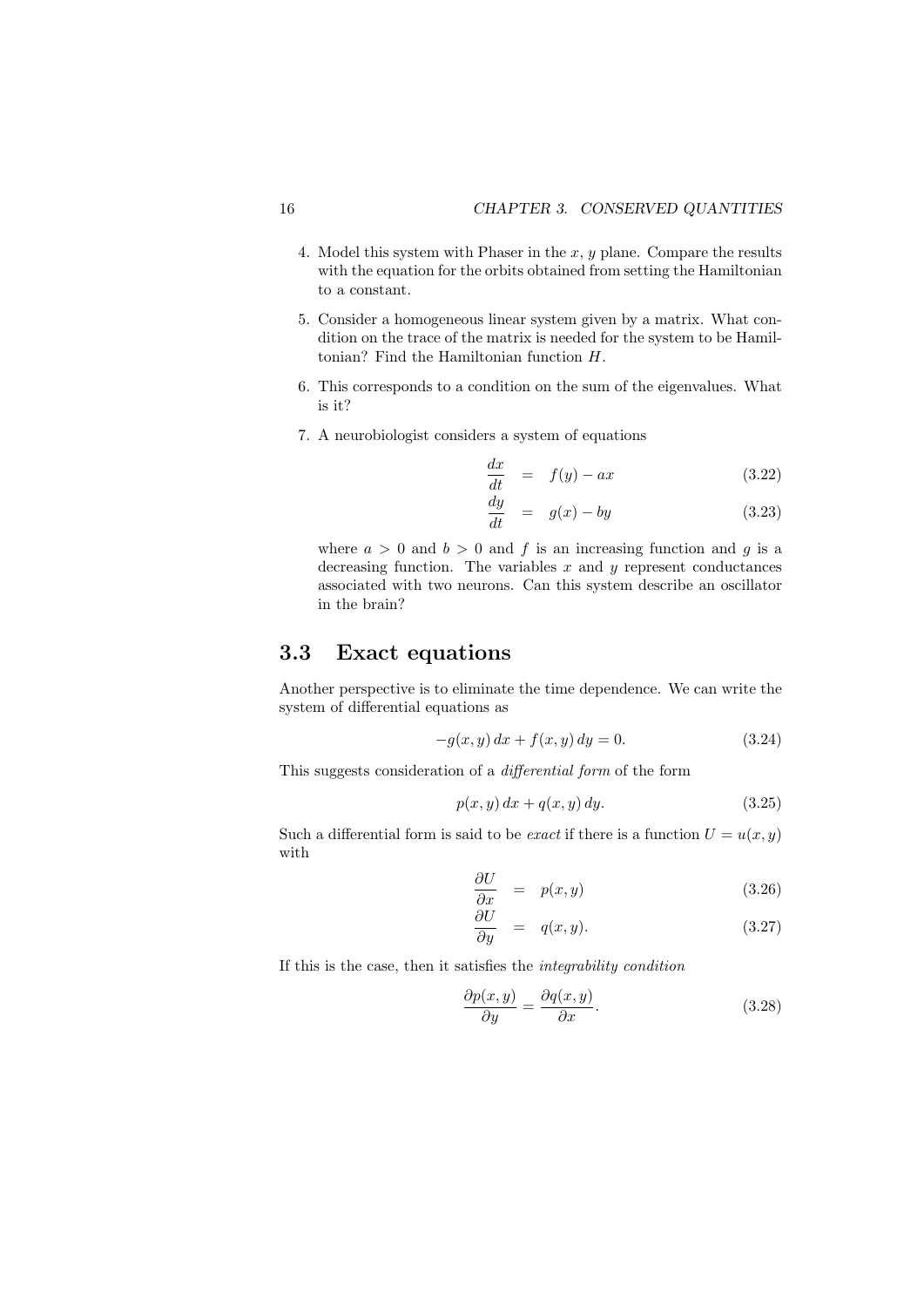- 4. Model this system with Phaser in the  $x, y$  plane. Compare the results with the equation for the orbits obtained from setting the Hamiltonian to a constant.
- 5. Consider a homogeneous linear system given by a matrix. What condition on the trace of the matrix is needed for the system to be Hamiltonian? Find the Hamiltonian function H.
- 6. This corresponds to a condition on the sum of the eigenvalues. What is it?
- 7. A neurobiologist considers a system of equations

$$
\frac{dx}{dt} = f(y) - ax \tag{3.22}
$$

$$
\frac{dy}{dt} = g(x) - by \tag{3.23}
$$

where  $a > 0$  and  $b > 0$  and f is an increasing function and g is a decreasing function. The variables  $x$  and  $y$  represent conductances associated with two neurons. Can this system describe an oscillator in the brain?

### 3.3 Exact equations

Another perspective is to eliminate the time dependence. We can write the system of differential equations as

$$
-g(x, y) dx + f(x, y) dy = 0.
$$
 (3.24)

This suggests consideration of a differential form of the form

$$
p(x, y) dx + q(x, y) dy.
$$
\n
$$
(3.25)
$$

Such a differential form is said to be *exact* if there is a function  $U = u(x, y)$ with

$$
\frac{\partial U}{\partial x} = p(x, y) \tag{3.26}
$$

$$
\frac{\partial U}{\partial y} = q(x, y). \tag{3.27}
$$

If this is the case, then it satisfies the integrability condition

$$
\frac{\partial p(x,y)}{\partial y} = \frac{\partial q(x,y)}{\partial x}.
$$
\n(3.28)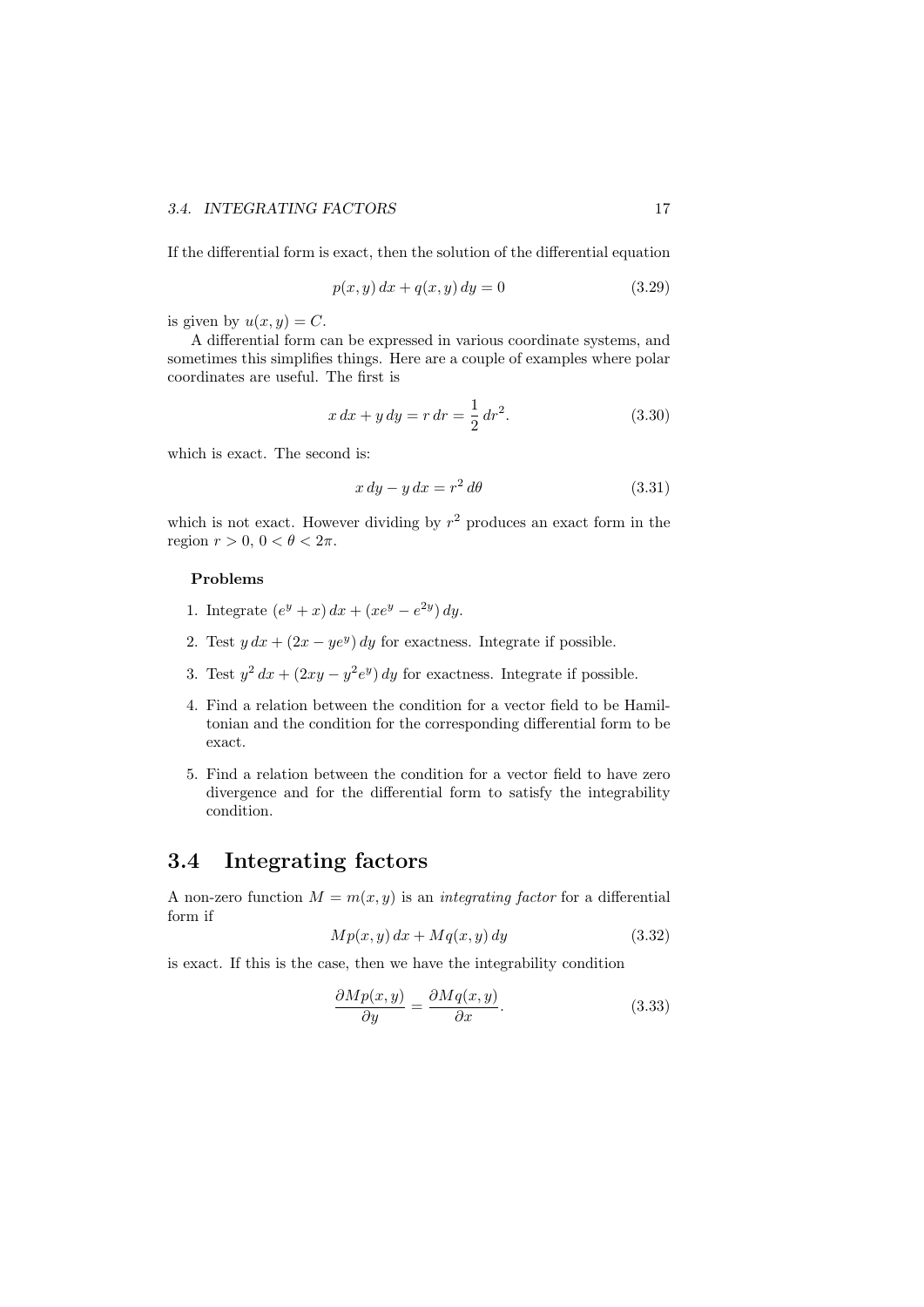#### 3.4. INTEGRATING FACTORS 17

If the differential form is exact, then the solution of the differential equation

$$
p(x, y) dx + q(x, y) dy = 0
$$
\n(3.29)

is given by  $u(x, y) = C$ .

A differential form can be expressed in various coordinate systems, and sometimes this simplifies things. Here are a couple of examples where polar coordinates are useful. The first is

$$
x dx + y dy = r dr = \frac{1}{2} dr^{2}.
$$
 (3.30)

which is exact. The second is:

$$
x\,dy - y\,dx = r^2\,d\theta\tag{3.31}
$$

which is not exact. However dividing by  $r^2$  produces an exact form in the region  $r > 0$ ,  $0 < \theta < 2\pi$ .

#### Problems

- 1. Integrate  $(e^y + x) dx + (xe^y e^{2y}) dy$ .
- 2. Test  $y dx + (2x ye^y) dy$  for exactness. Integrate if possible.
- 3. Test  $y^2 dx + (2xy y^2 e^y) dy$  for exactness. Integrate if possible.
- 4. Find a relation between the condition for a vector field to be Hamiltonian and the condition for the corresponding differential form to be exact.
- 5. Find a relation between the condition for a vector field to have zero divergence and for the differential form to satisfy the integrability condition.

### 3.4 Integrating factors

A non-zero function  $M = m(x, y)$  is an *integrating factor* for a differential form if

$$
Mp(x, y) dx + Mq(x, y) dy \qquad (3.32)
$$

is exact. If this is the case, then we have the integrability condition

$$
\frac{\partial Mp(x,y)}{\partial y} = \frac{\partial Mq(x,y)}{\partial x}.
$$
\n(3.33)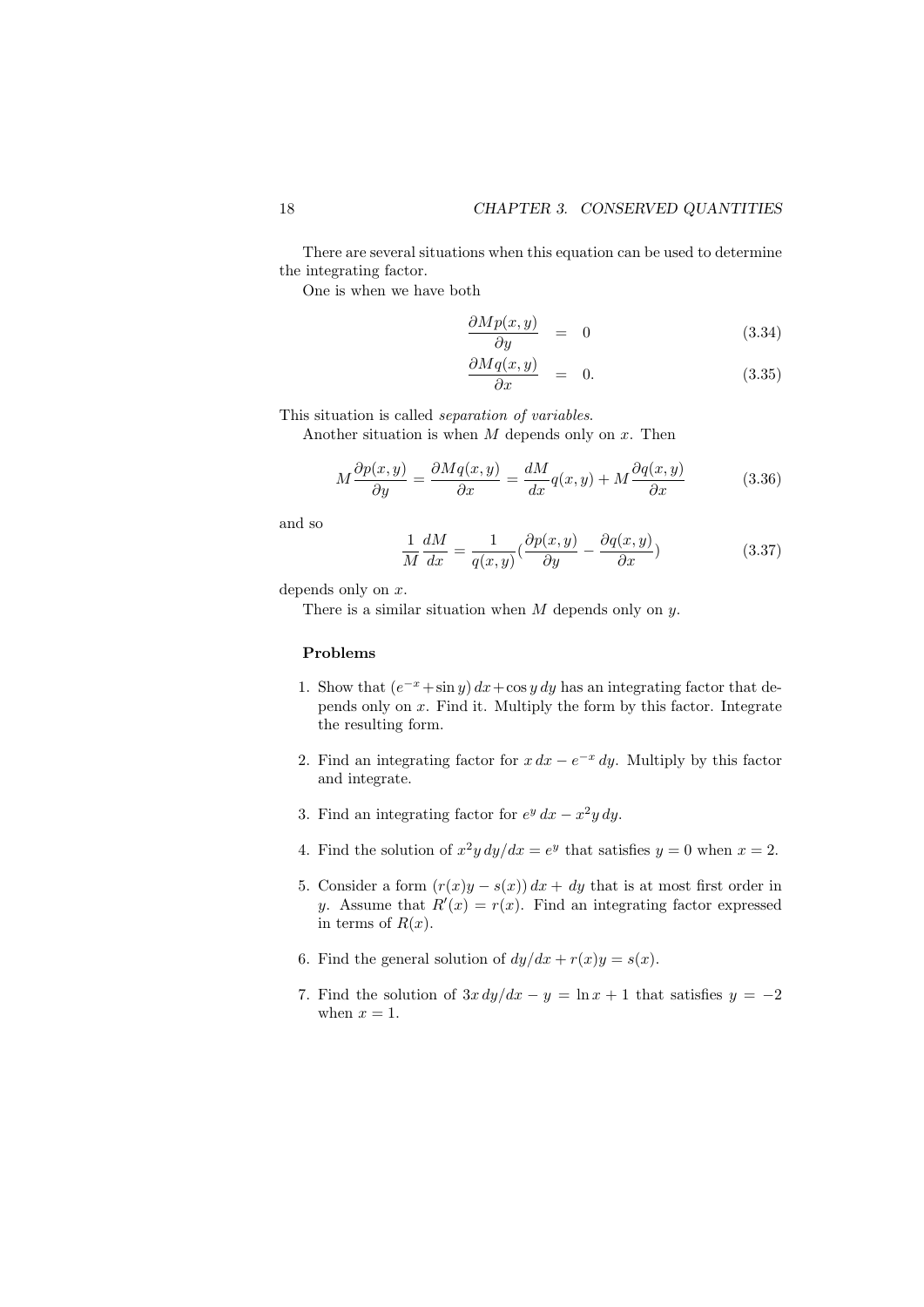There are several situations when this equation can be used to determine the integrating factor.

One is when we have both

$$
\frac{\partial Mp(x,y)}{\partial y} = 0 \tag{3.34}
$$

$$
\frac{\partial Mq(x,y)}{\partial x} = 0.
$$
\n(3.35)

This situation is called separation of variables.

Another situation is when  $M$  depends only on  $x$ . Then

$$
M\frac{\partial p(x,y)}{\partial y} = \frac{\partial Mq(x,y)}{\partial x} = \frac{dM}{dx}q(x,y) + M\frac{\partial q(x,y)}{\partial x}
$$
(3.36)

and so

$$
\frac{1}{M}\frac{dM}{dx} = \frac{1}{q(x,y)}\left(\frac{\partial p(x,y)}{\partial y} - \frac{\partial q(x,y)}{\partial x}\right) \tag{3.37}
$$

depends only on x.

There is a similar situation when  $M$  depends only on  $y$ .

#### Problems

- 1. Show that  $(e^{-x} + \sin y) dx + \cos y dy$  has an integrating factor that depends only on  $x$ . Find it. Multiply the form by this factor. Integrate the resulting form.
- 2. Find an integrating factor for  $x dx e^{-x} dy$ . Multiply by this factor and integrate.
- 3. Find an integrating factor for  $e^y dx x^2y dy$ .
- 4. Find the solution of  $x^2y\,dy/dx = e^y$  that satisfies  $y = 0$  when  $x = 2$ .
- 5. Consider a form  $(r(x)y s(x)) dx + dy$  that is at most first order in y. Assume that  $R'(x) = r(x)$ . Find an integrating factor expressed in terms of  $R(x)$ .
- 6. Find the general solution of  $dy/dx + r(x)y = s(x)$ .
- 7. Find the solution of  $3x dy/dx y = \ln x + 1$  that satisfies  $y = -2$ when  $x = 1$ .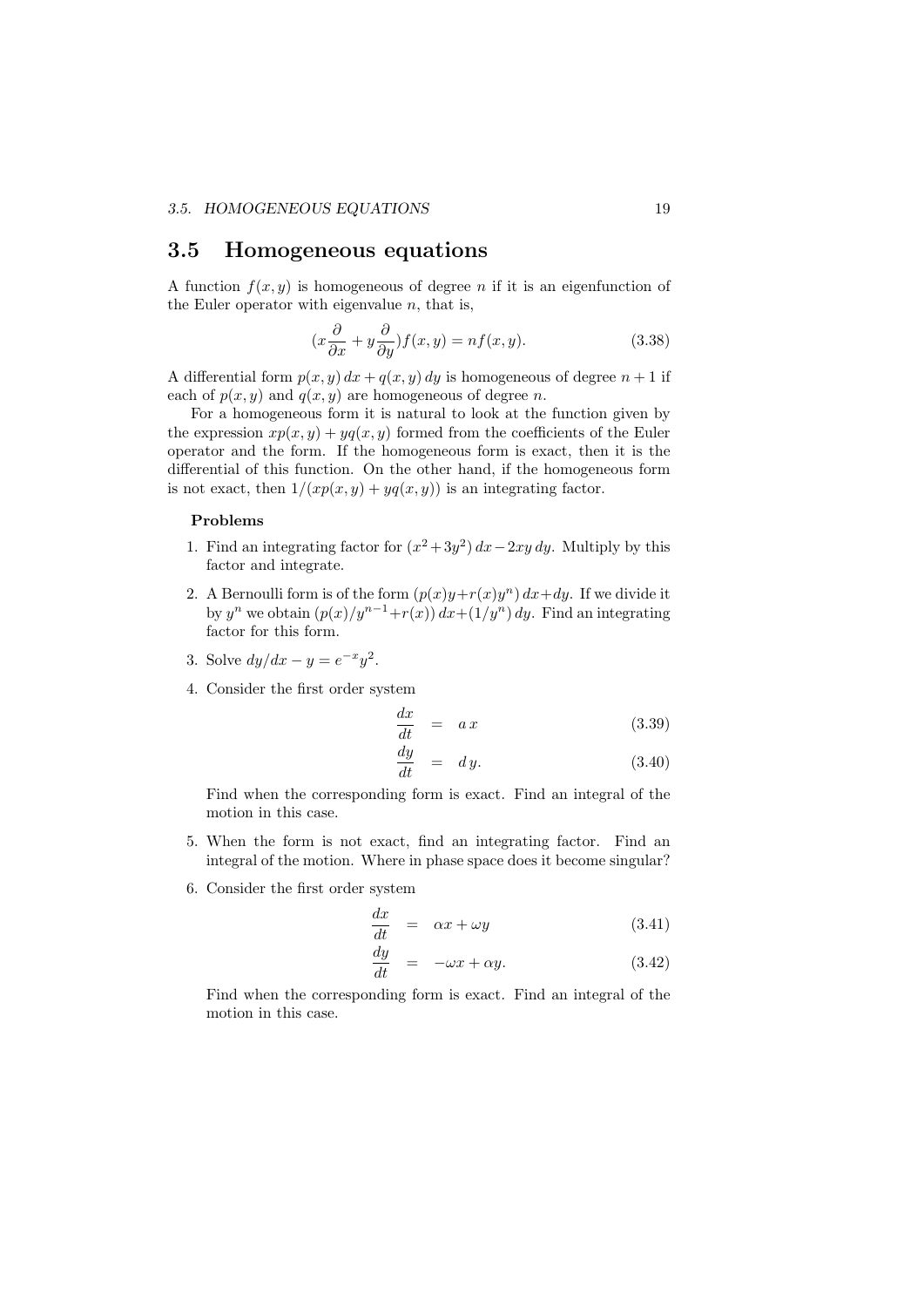### 3.5 Homogeneous equations

A function  $f(x, y)$  is homogeneous of degree n if it is an eigenfunction of the Euler operator with eigenvalue  $n$ , that is,

$$
(x\frac{\partial}{\partial x} + y\frac{\partial}{\partial y})f(x, y) = nf(x, y).
$$
 (3.38)

A differential form  $p(x, y) dx + q(x, y) dy$  is homogeneous of degree  $n + 1$  if each of  $p(x, y)$  and  $q(x, y)$  are homogeneous of degree n.

For a homogeneous form it is natural to look at the function given by the expression  $xp(x, y) + yq(x, y)$  formed from the coefficients of the Euler operator and the form. If the homogeneous form is exact, then it is the differential of this function. On the other hand, if the homogeneous form is not exact, then  $1/(xp(x, y) + yq(x, y))$  is an integrating factor.

#### Problems

- 1. Find an integrating factor for  $(x^2+3y^2) dx 2xy dy$ . Multiply by this factor and integrate.
- 2. A Bernoulli form is of the form  $(p(x)y+r(x)y^n) dx+dy$ . If we divide it by  $y^n$  we obtain  $(p(x)/y^{n-1}+r(x)) dx+(1/y^n) dy$ . Find an integrating factor for this form.
- 3. Solve  $dy/dx y = e^{-x}y^2$ .
- 4. Consider the first order system

$$
\frac{dx}{dt} = a x \tag{3.39}
$$

$$
\frac{dy}{dt} = dy.
$$
\n(3.40)

Find when the corresponding form is exact. Find an integral of the motion in this case.

- 5. When the form is not exact, find an integrating factor. Find an integral of the motion. Where in phase space does it become singular?
- 6. Consider the first order system

$$
\frac{dx}{dt} = \alpha x + \omega y \tag{3.41}
$$

$$
\frac{dy}{dt} = -\omega x + \alpha y. \tag{3.42}
$$

Find when the corresponding form is exact. Find an integral of the motion in this case.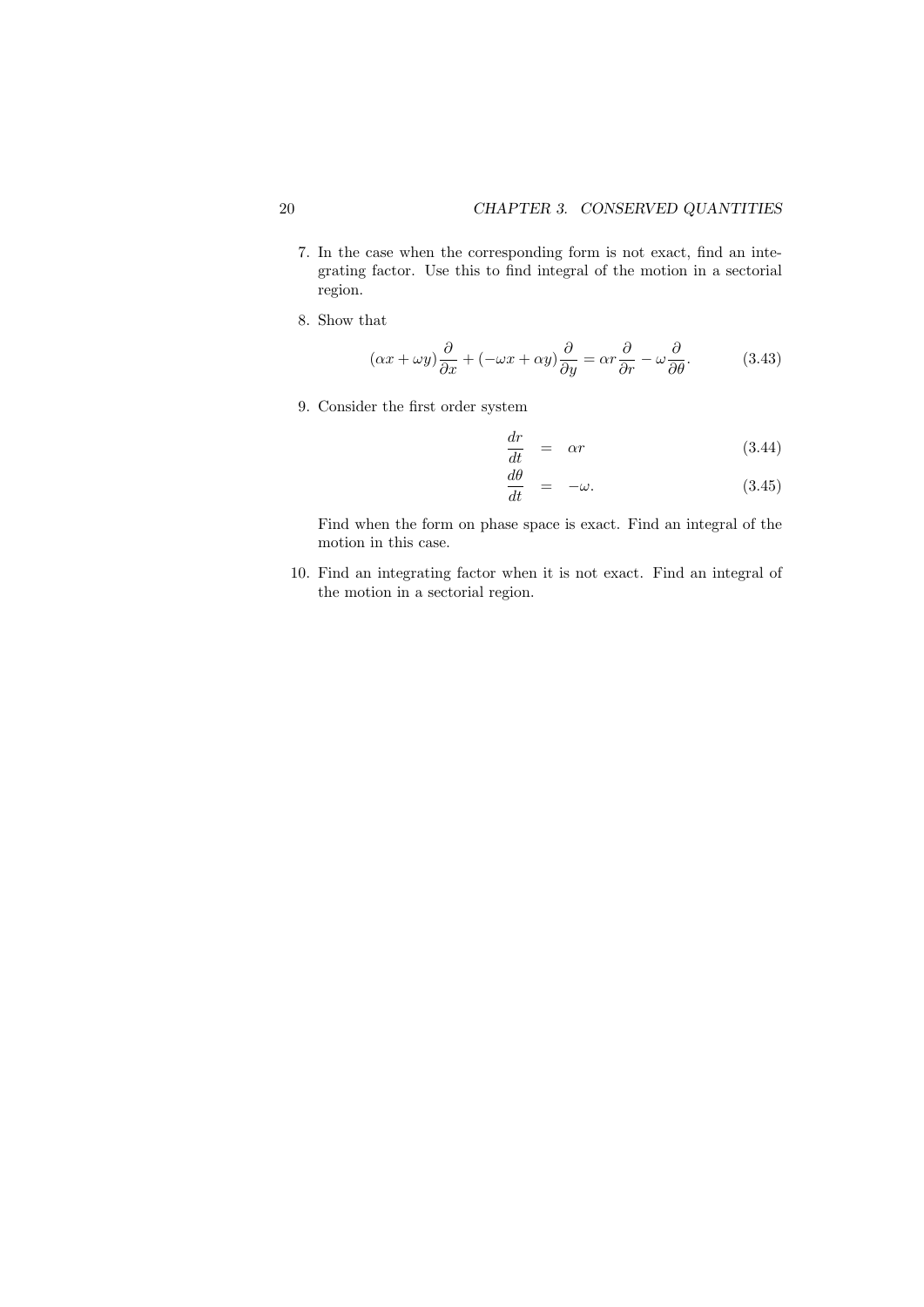- 7. In the case when the corresponding form is not exact, find an integrating factor. Use this to find integral of the motion in a sectorial region.
- 8. Show that

$$
(\alpha x + \omega y)\frac{\partial}{\partial x} + (-\omega x + \alpha y)\frac{\partial}{\partial y} = \alpha r \frac{\partial}{\partial r} - \omega \frac{\partial}{\partial \theta}.
$$
 (3.43)

9. Consider the first order system

$$
\frac{dr}{dt} = \alpha r \tag{3.44}
$$

$$
\frac{d\theta}{dt} = -\omega.
$$
 (3.45)

Find when the form on phase space is exact. Find an integral of the motion in this case.

10. Find an integrating factor when it is not exact. Find an integral of the motion in a sectorial region.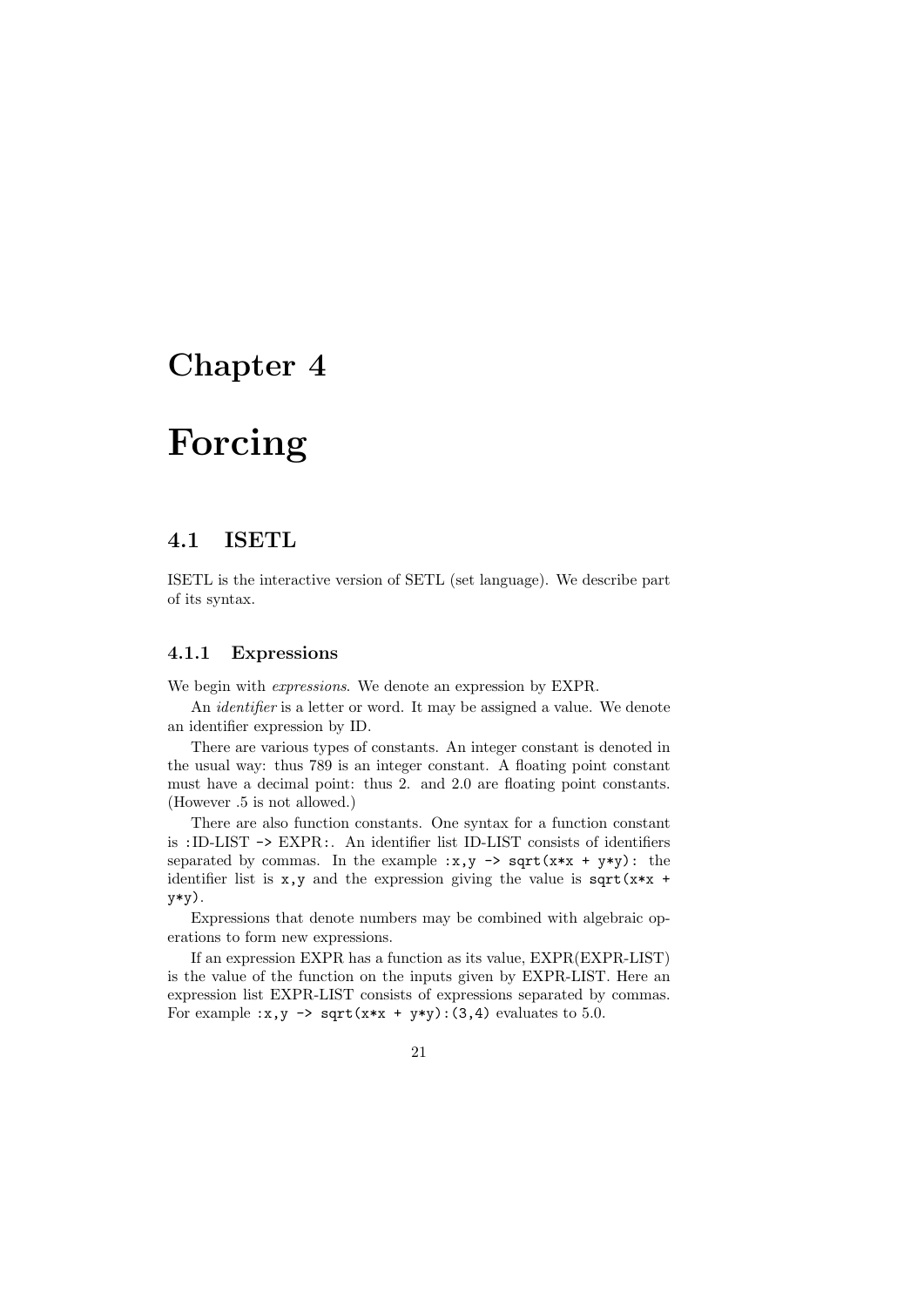## Chapter 4

# Forcing

## 4.1 ISETL

ISETL is the interactive version of SETL (set language). We describe part of its syntax.

#### 4.1.1 Expressions

We begin with expressions. We denote an expression by EXPR.

An identifier is a letter or word. It may be assigned a value. We denote an identifier expression by ID.

There are various types of constants. An integer constant is denoted in the usual way: thus 789 is an integer constant. A floating point constant must have a decimal point: thus 2. and 2.0 are floating point constants. (However .5 is not allowed.)

There are also function constants. One syntax for a function constant is :ID-LIST -> EXPR:. An identifier list ID-LIST consists of identifiers separated by commas. In the example  $:x,y \rightarrow \texttt{sqrt}(x*x + y*y)$ : the identifier list is  $x,y$  and the expression giving the value is  $sqrt(x*x +$  $y*y$ ).

Expressions that denote numbers may be combined with algebraic operations to form new expressions.

If an expression EXPR has a function as its value, EXPR(EXPR-LIST) is the value of the function on the inputs given by EXPR-LIST. Here an expression list EXPR-LIST consists of expressions separated by commas. For example  $:x,y \rightarrow \text{sqrt}(x*x + y*y):(3,4)$  evaluates to 5.0.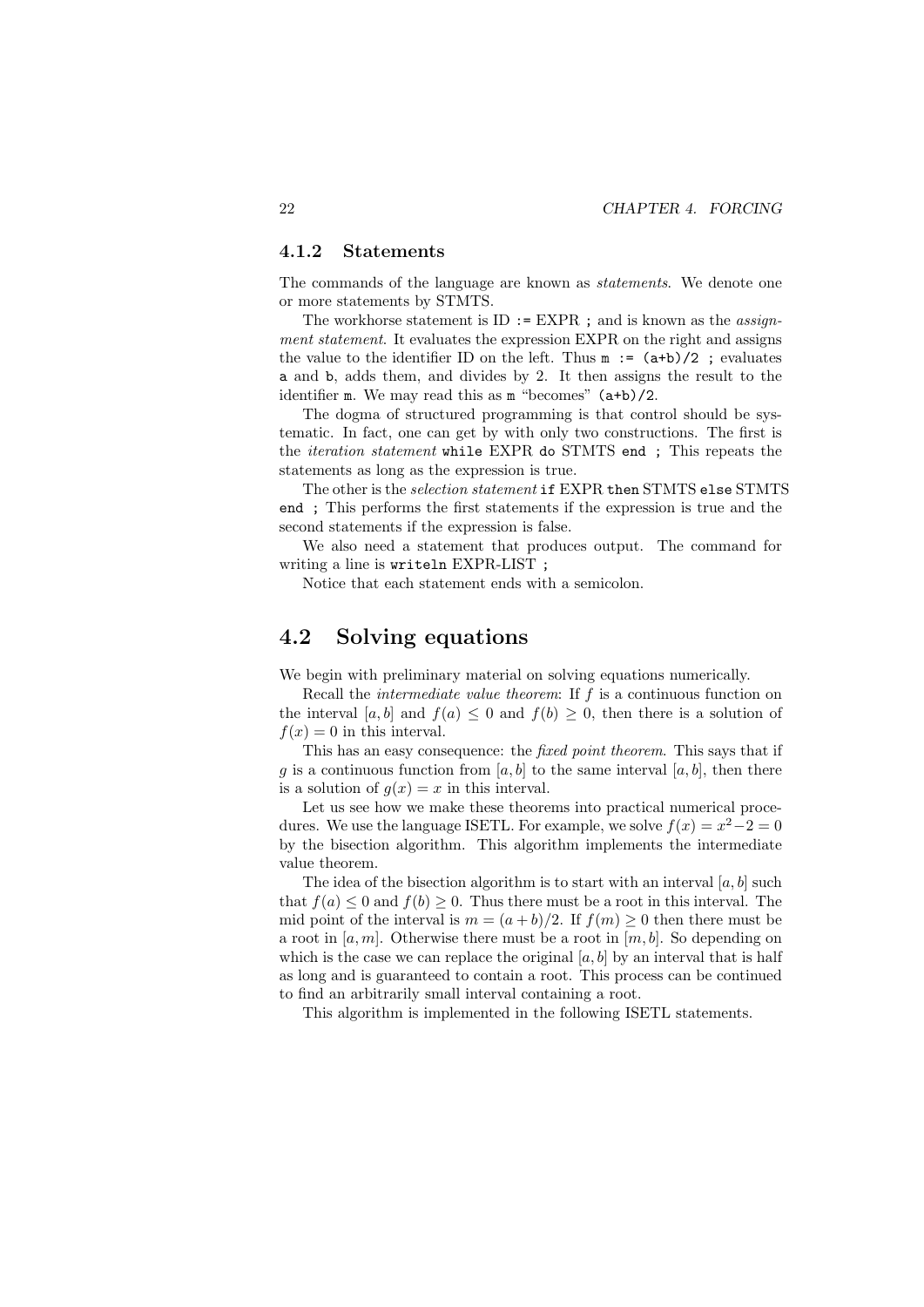#### 4.1.2 Statements

The commands of the language are known as statements. We denote one or more statements by STMTS.

The workhorse statement is  $ID := EXPR$ ; and is known as the *assign*ment statement. It evaluates the expression EXPR on the right and assigns the value to the identifier ID on the left. Thus  $m := (a+b)/2$ ; evaluates a and b, adds them, and divides by 2. It then assigns the result to the identifier m. We may read this as m "becomes" (a+b)/2.

The dogma of structured programming is that control should be systematic. In fact, one can get by with only two constructions. The first is the iteration statement while EXPR do STMTS end ; This repeats the statements as long as the expression is true.

The other is the selection statement if EXPR then STMTS else STMTS end ; This performs the first statements if the expression is true and the second statements if the expression is false.

We also need a statement that produces output. The command for writing a line is writeln EXPR-LIST ;

Notice that each statement ends with a semicolon.

## 4.2 Solving equations

We begin with preliminary material on solving equations numerically.

Recall the *intermediate value theorem*: If  $f$  is a continuous function on the interval [a, b] and  $f(a) \leq 0$  and  $f(b) \geq 0$ , then there is a solution of  $f(x) = 0$  in this interval.

This has an easy consequence: the *fixed point theorem*. This says that if g is a continuous function from [a, b] to the same interval [a, b], then there is a solution of  $g(x) = x$  in this interval.

Let us see how we make these theorems into practical numerical procedures. We use the language ISETL. For example, we solve  $f(x) = x^2 - 2 = 0$ by the bisection algorithm. This algorithm implements the intermediate value theorem.

The idea of the bisection algorithm is to start with an interval  $[a, b]$  such that  $f(a) \leq 0$  and  $f(b) \geq 0$ . Thus there must be a root in this interval. The mid point of the interval is  $m = (a + b)/2$ . If  $f(m) \geq 0$  then there must be a root in  $[a, m]$ . Otherwise there must be a root in  $[m, b]$ . So depending on which is the case we can replace the original  $[a, b]$  by an interval that is half as long and is guaranteed to contain a root. This process can be continued to find an arbitrarily small interval containing a root.

This algorithm is implemented in the following ISETL statements.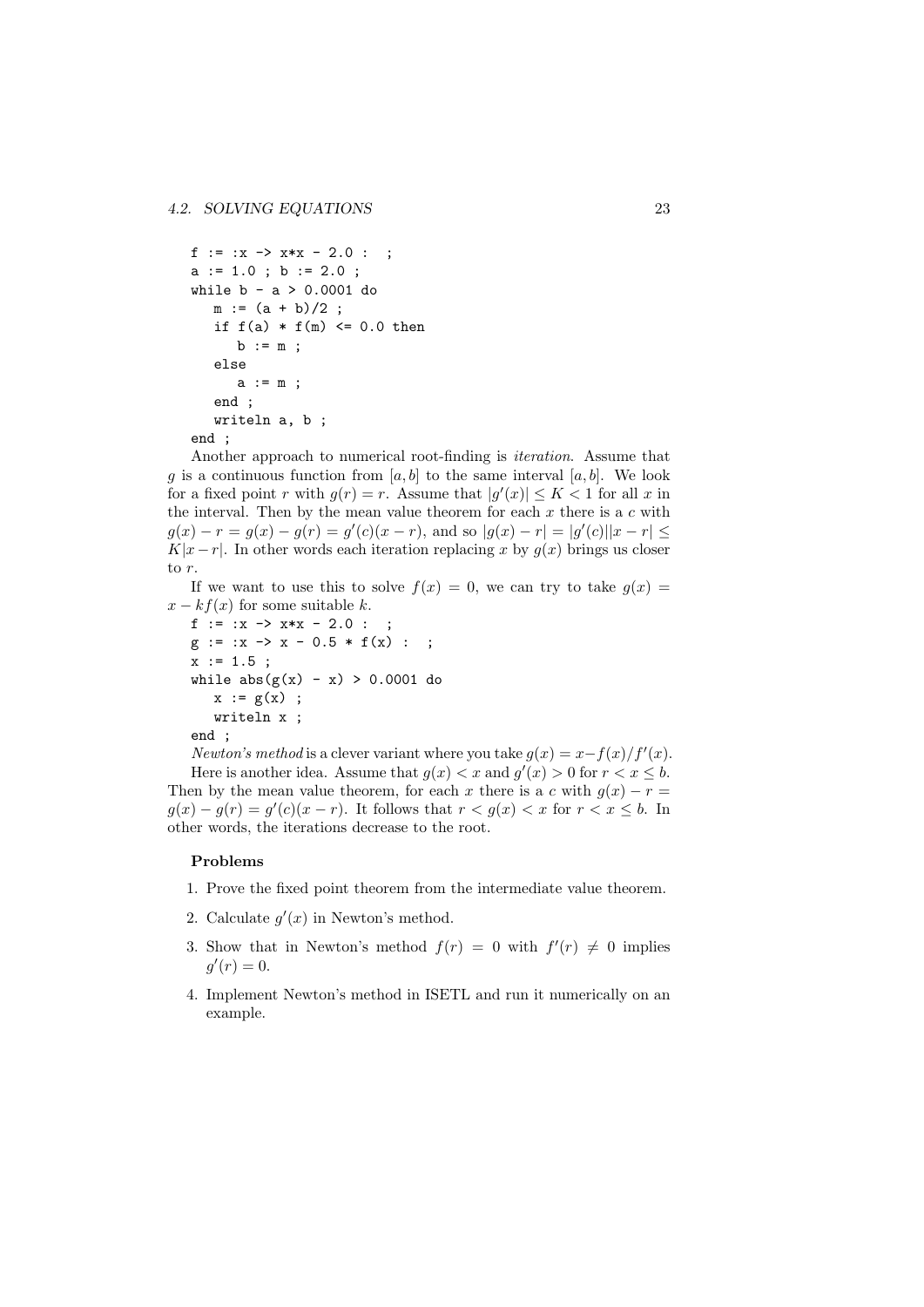```
f := :x \rightarrow x*x - 2.0 : ;
a := 1.0; b := 2.0;
while b - a > 0.0001 do
  m := (a + b)/2;
  if f(a) * f(m) \le 0.0 then
     b := m;
  else
     a := m ;
  end ;
  writeln a, b ;
end ;
```
Another approach to numerical root-finding is iteration. Assume that g is a continuous function from  $[a, b]$  to the same interval  $[a, b]$ . We look for a fixed point r with  $g(r) = r$ . Assume that  $|g'(x)| \leq K < 1$  for all x in the interval. Then by the mean value theorem for each  $x$  there is a  $c$  with  $g(x) - r = g(x) - g(r) = g'(c)(x - r)$ , and so  $|g(x) - r| = |g'(c)||x - r| \le$  $K|x - r|$ . In other words each iteration replacing x by  $g(x)$  brings us closer to r.

If we want to use this to solve  $f(x) = 0$ , we can try to take  $q(x) =$  $x - k f(x)$  for some suitable k.

```
f := :x \rightarrow x*x - 2.0 : ;
g := x \rightarrow x - 0.5 * f(x) :x := 1.5 ;
while abs(g(x) - x) > 0.0001 do
   x := g(x);
   writeln x ;
end ;
```
Newton's method is a clever variant where you take  $g(x) = x - f(x)/f'(x)$ . Here is another idea. Assume that  $g(x) < x$  and  $g'(x) > 0$  for  $r < x \leq b$ . Then by the mean value theorem, for each x there is a c with  $g(x) - r =$  $g(x) - g(r) = g'(c)(x - r)$ . It follows that  $r < g(x) < x$  for  $r < x \leq b$ . In other words, the iterations decrease to the root.

#### Problems

- 1. Prove the fixed point theorem from the intermediate value theorem.
- 2. Calculate  $g'(x)$  in Newton's method.
- 3. Show that in Newton's method  $f(r) = 0$  with  $f'(r) \neq 0$  implies  $g'(r) = 0.$
- 4. Implement Newton's method in ISETL and run it numerically on an example.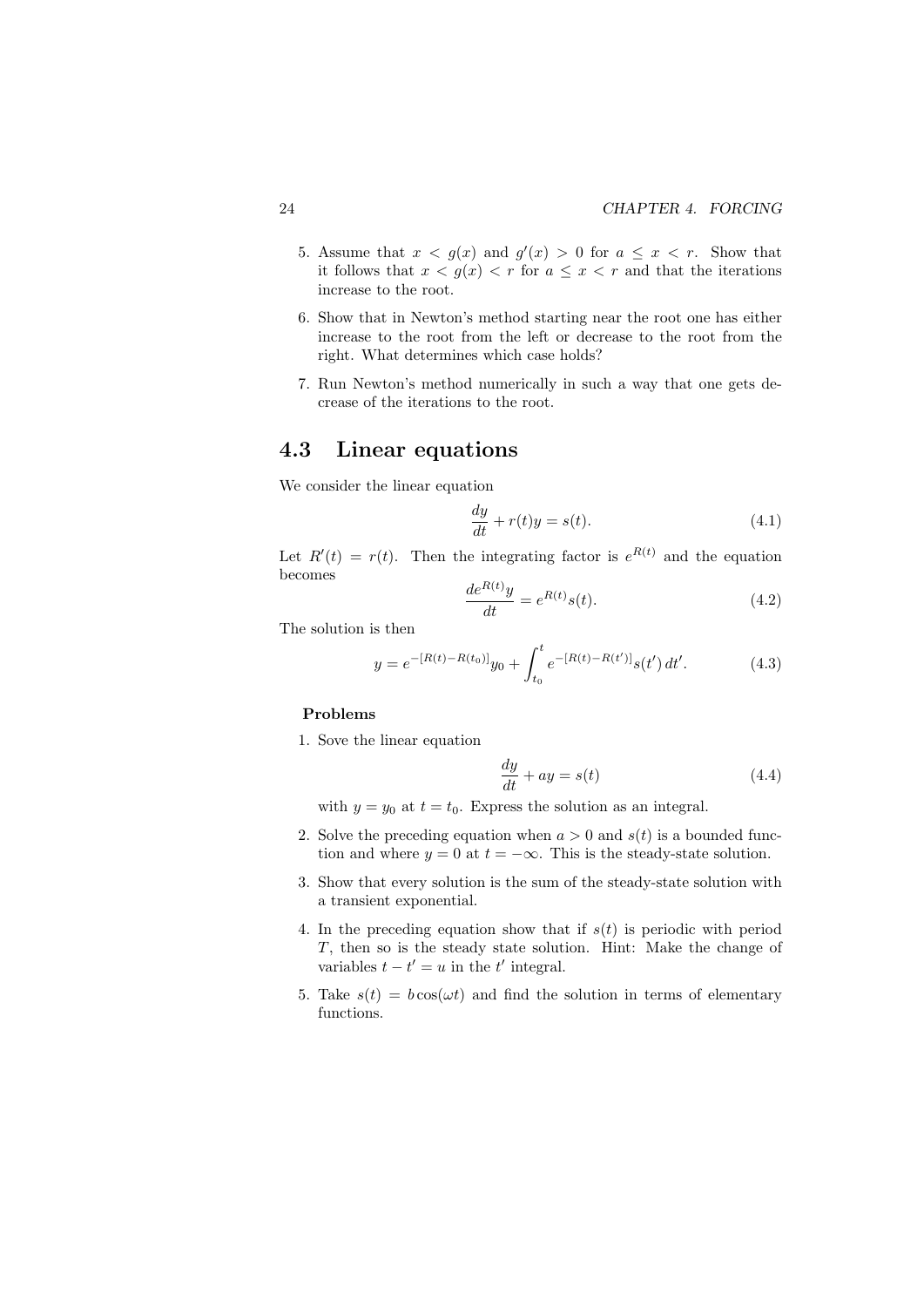- 5. Assume that  $x < g(x)$  and  $g'(x) > 0$  for  $a \leq x < r$ . Show that it follows that  $x < g(x) < r$  for  $a \leq x < r$  and that the iterations increase to the root.
- 6. Show that in Newton's method starting near the root one has either increase to the root from the left or decrease to the root from the right. What determines which case holds?
- 7. Run Newton's method numerically in such a way that one gets decrease of the iterations to the root.

### 4.3 Linear equations

We consider the linear equation

$$
\frac{dy}{dt} + r(t)y = s(t). \tag{4.1}
$$

Let  $R'(t) = r(t)$ . Then the integrating factor is  $e^{R(t)}$  and the equation becomes  $\overline{D(t)}$ 

$$
\frac{de^{R(t)}y}{dt} = e^{R(t)}s(t). \tag{4.2}
$$

The solution is then

$$
y = e^{-[R(t) - R(t_0)]}y_0 + \int_{t_0}^t e^{-[R(t) - R(t')]}\mathcal{S}(t')\,dt'.\tag{4.3}
$$

#### Problems

1. Sove the linear equation

$$
\frac{dy}{dt} + ay = s(t) \tag{4.4}
$$

with  $y = y_0$  at  $t = t_0$ . Express the solution as an integral.

- 2. Solve the preceding equation when  $a > 0$  and  $s(t)$  is a bounded function and where  $y = 0$  at  $t = -\infty$ . This is the steady-state solution.
- 3. Show that every solution is the sum of the steady-state solution with a transient exponential.
- 4. In the preceding equation show that if  $s(t)$  is periodic with period T, then so is the steady state solution. Hint: Make the change of variables  $t - t' = u$  in the t' integral.
- 5. Take  $s(t) = b\cos(\omega t)$  and find the solution in terms of elementary functions.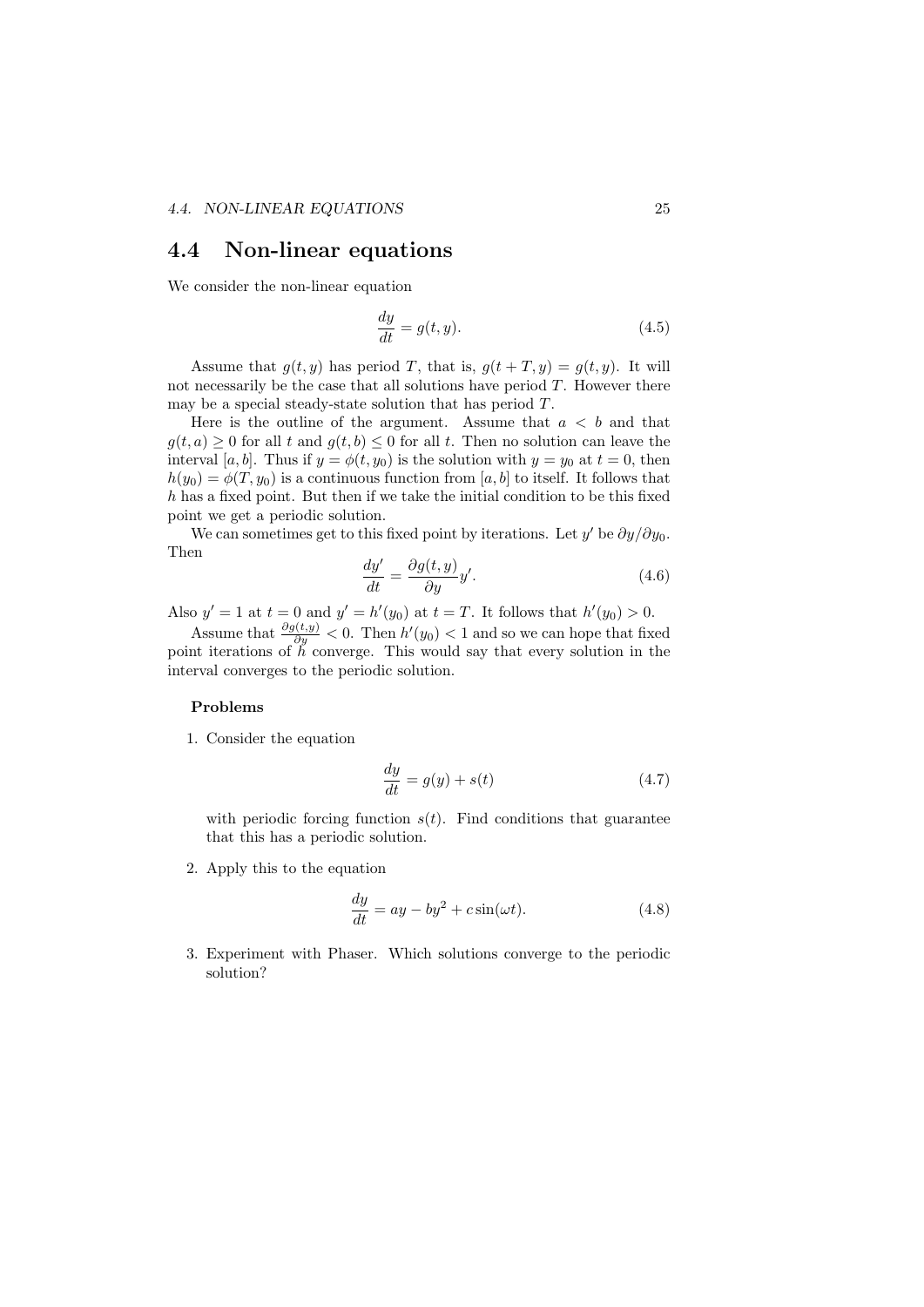### 4.4 Non-linear equations

We consider the non-linear equation

$$
\frac{dy}{dt} = g(t, y). \tag{4.5}
$$

Assume that  $g(t, y)$  has period T, that is,  $g(t + T, y) = g(t, y)$ . It will not necessarily be the case that all solutions have period  $T$ . However there may be a special steady-state solution that has period T.

Here is the outline of the argument. Assume that  $a < b$  and that  $g(t, a) \geq 0$  for all t and  $g(t, b) \leq 0$  for all t. Then no solution can leave the interval [a, b]. Thus if  $y = \phi(t, y_0)$  is the solution with  $y = y_0$  at  $t = 0$ , then  $h(y_0) = \phi(T, y_0)$  is a continuous function from [a, b] to itself. It follows that h has a fixed point. But then if we take the initial condition to be this fixed point we get a periodic solution.

We can sometimes get to this fixed point by iterations. Let  $y'$  be  $\partial y/\partial y_0$ . Then  $\mathfrak{g}$ 

$$
\frac{dy'}{dt} = \frac{\partial g(t, y)}{\partial y} y'.\tag{4.6}
$$

Also  $y' = 1$  at  $t = 0$  and  $y' = h'(y_0)$  at  $t = T$ . It follows that  $h'(y_0) > 0$ .

Assume that  $\frac{\partial g(t,y)}{\partial y} < 0$ . Then  $h'(y_0) < 1$  and so we can hope that fixed point iterations of  $\tilde{h}$  converge. This would say that every solution in the interval converges to the periodic solution.

#### Problems

1. Consider the equation

$$
\frac{dy}{dt} = g(y) + s(t) \tag{4.7}
$$

with periodic forcing function  $s(t)$ . Find conditions that guarantee that this has a periodic solution.

2. Apply this to the equation

$$
\frac{dy}{dt} = ay - by^2 + c\sin(\omega t). \tag{4.8}
$$

3. Experiment with Phaser. Which solutions converge to the periodic solution?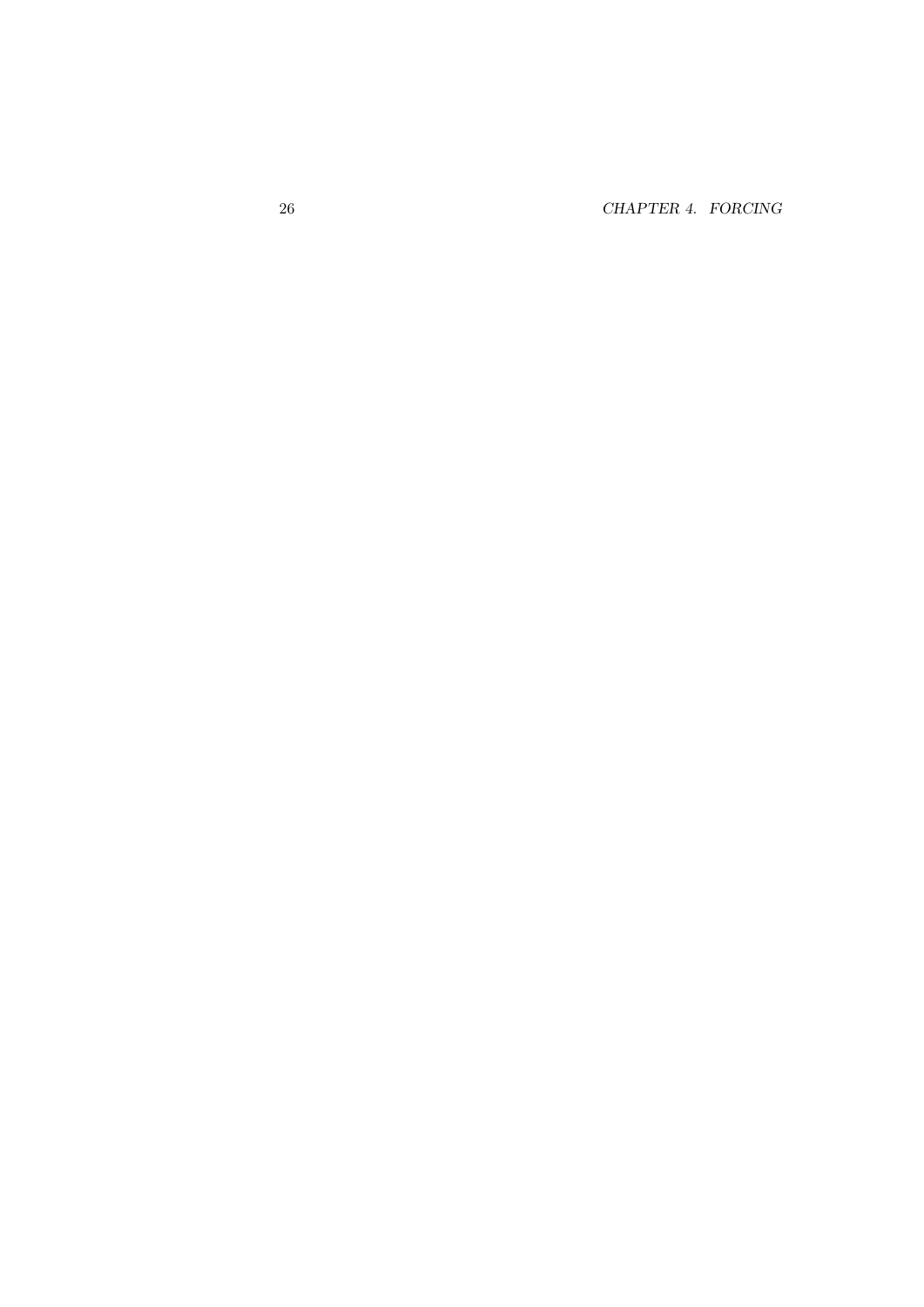$\begin{tabular}{ll} \bf CHAPTER 4. & \bf FORCING \end{tabular}$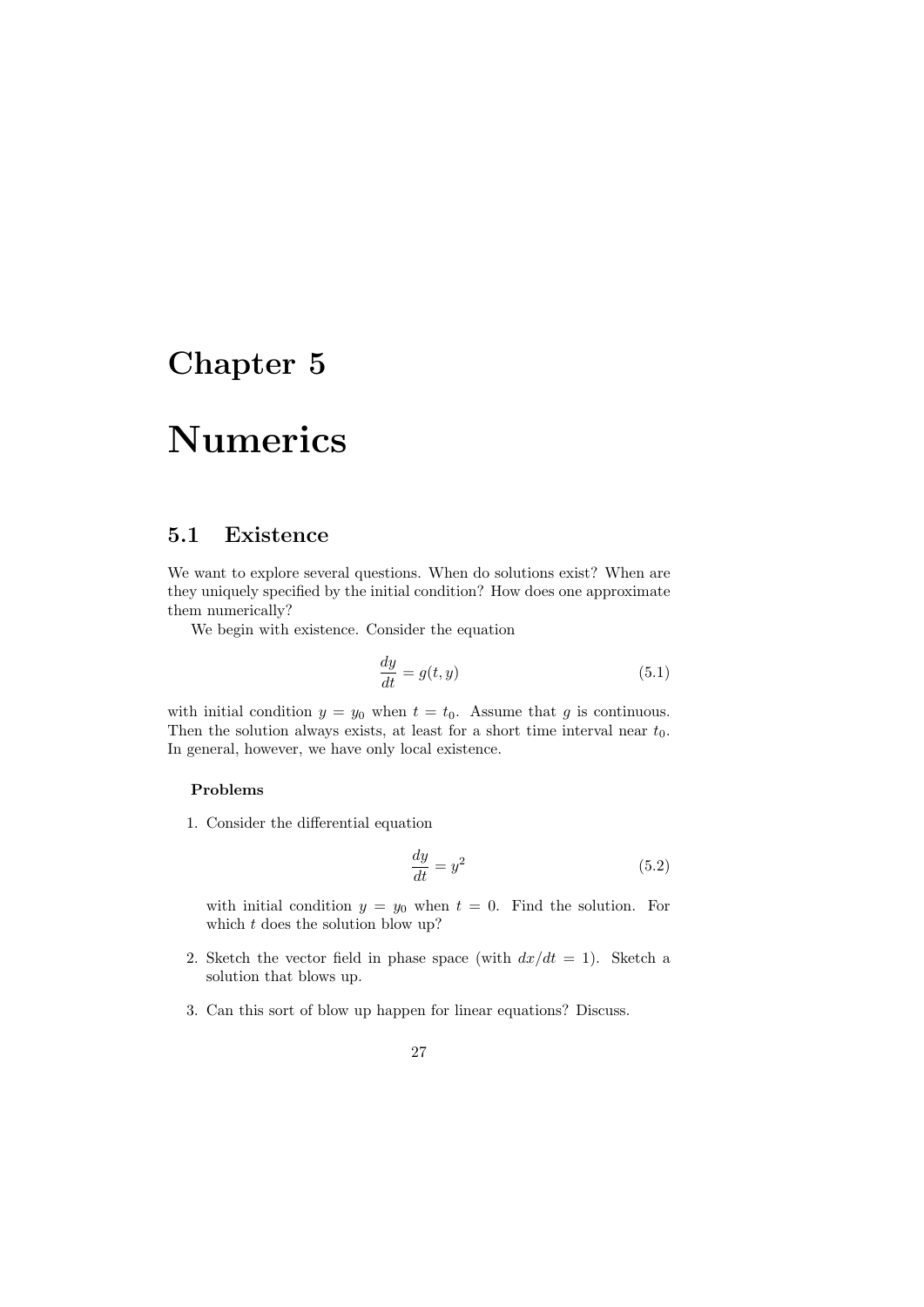## Chapter 5

# Numerics

## 5.1 Existence

We want to explore several questions. When do solutions exist? When are they uniquely specified by the initial condition? How does one approximate them numerically?

We begin with existence. Consider the equation

$$
\frac{dy}{dt} = g(t, y) \tag{5.1}
$$

with initial condition  $y = y_0$  when  $t = t_0$ . Assume that g is continuous. Then the solution always exists, at least for a short time interval near  $t_0$ . In general, however, we have only local existence.

#### Problems

1. Consider the differential equation

$$
\frac{dy}{dt} = y^2\tag{5.2}
$$

with initial condition  $y = y_0$  when  $t = 0$ . Find the solution. For which  $t$  does the solution blow up?

- 2. Sketch the vector field in phase space (with  $dx/dt = 1$ ). Sketch a solution that blows up.
- 3. Can this sort of blow up happen for linear equations? Discuss.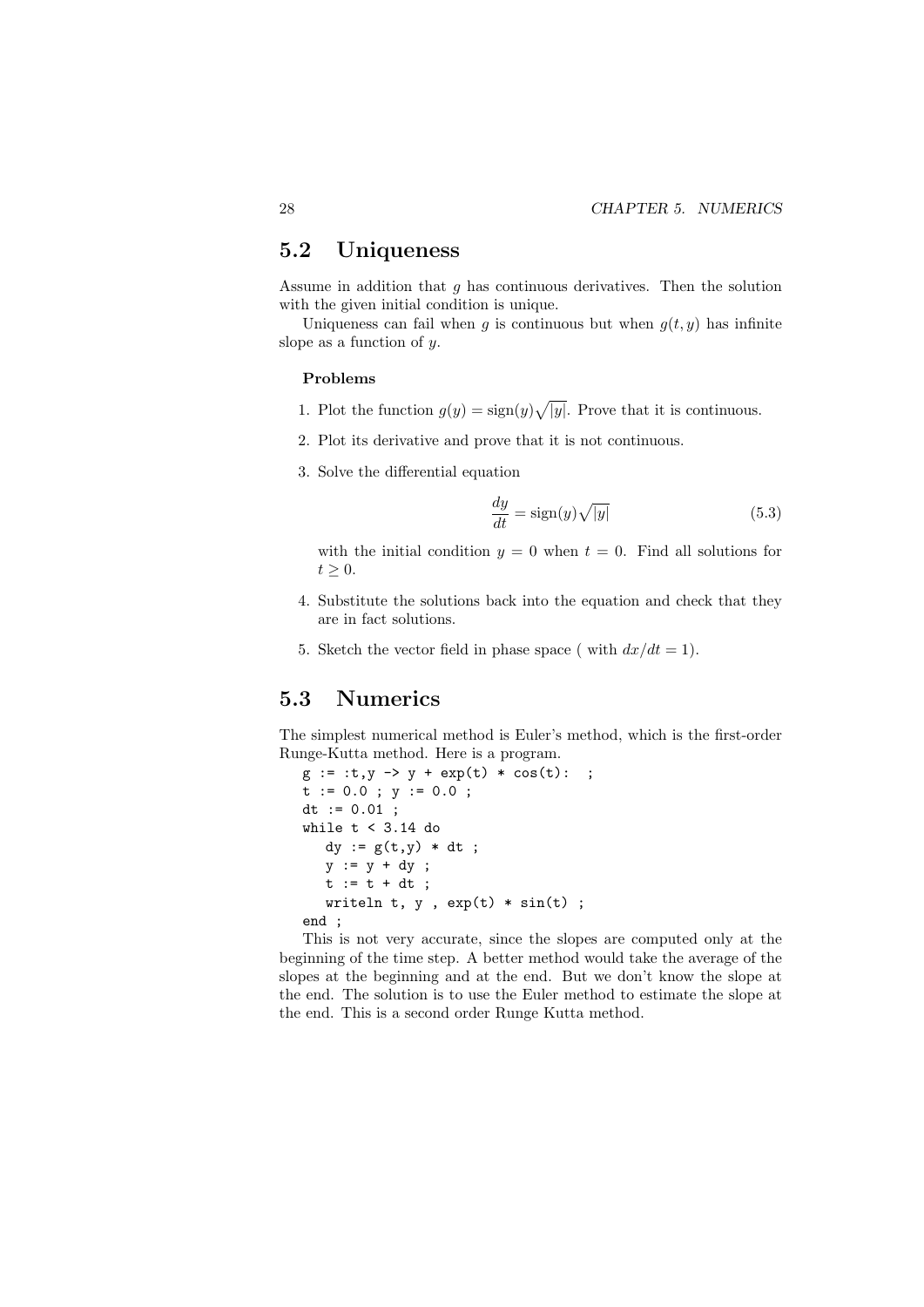## 5.2 Uniqueness

Assume in addition that  $q$  has continuous derivatives. Then the solution with the given initial condition is unique.

Uniqueness can fail when g is continuous but when  $g(t, y)$  has infinite slope as a function of  $y$ .

#### Problems

- 1. Plot the function  $g(y) = \text{sign}(y)\sqrt{|y|}$ . Prove that it is continuous.
- 2. Plot its derivative and prove that it is not continuous.
- 3. Solve the differential equation

$$
\frac{dy}{dt} = \text{sign}(y)\sqrt{|y|}\tag{5.3}
$$

with the initial condition  $y = 0$  when  $t = 0$ . Find all solutions for  $t \geq 0$ .

- 4. Substitute the solutions back into the equation and check that they are in fact solutions.
- 5. Sketch the vector field in phase space ( with  $dx/dt = 1$ ).

## 5.3 Numerics

The simplest numerical method is Euler's method, which is the first-order Runge-Kutta method. Here is a program.

```
g := t, y \rightarrow y + exp(t) * cos(t):t := 0.0; y := 0.0;
dt := 0.01 ;
while t < 3.14 do
  dy := g(t, y) * dt ;y := y + dy;
  t := t + dt;
  writeln t, y, exp(t) * sin(t);
end ;
```
This is not very accurate, since the slopes are computed only at the beginning of the time step. A better method would take the average of the slopes at the beginning and at the end. But we don't know the slope at the end. The solution is to use the Euler method to estimate the slope at the end. This is a second order Runge Kutta method.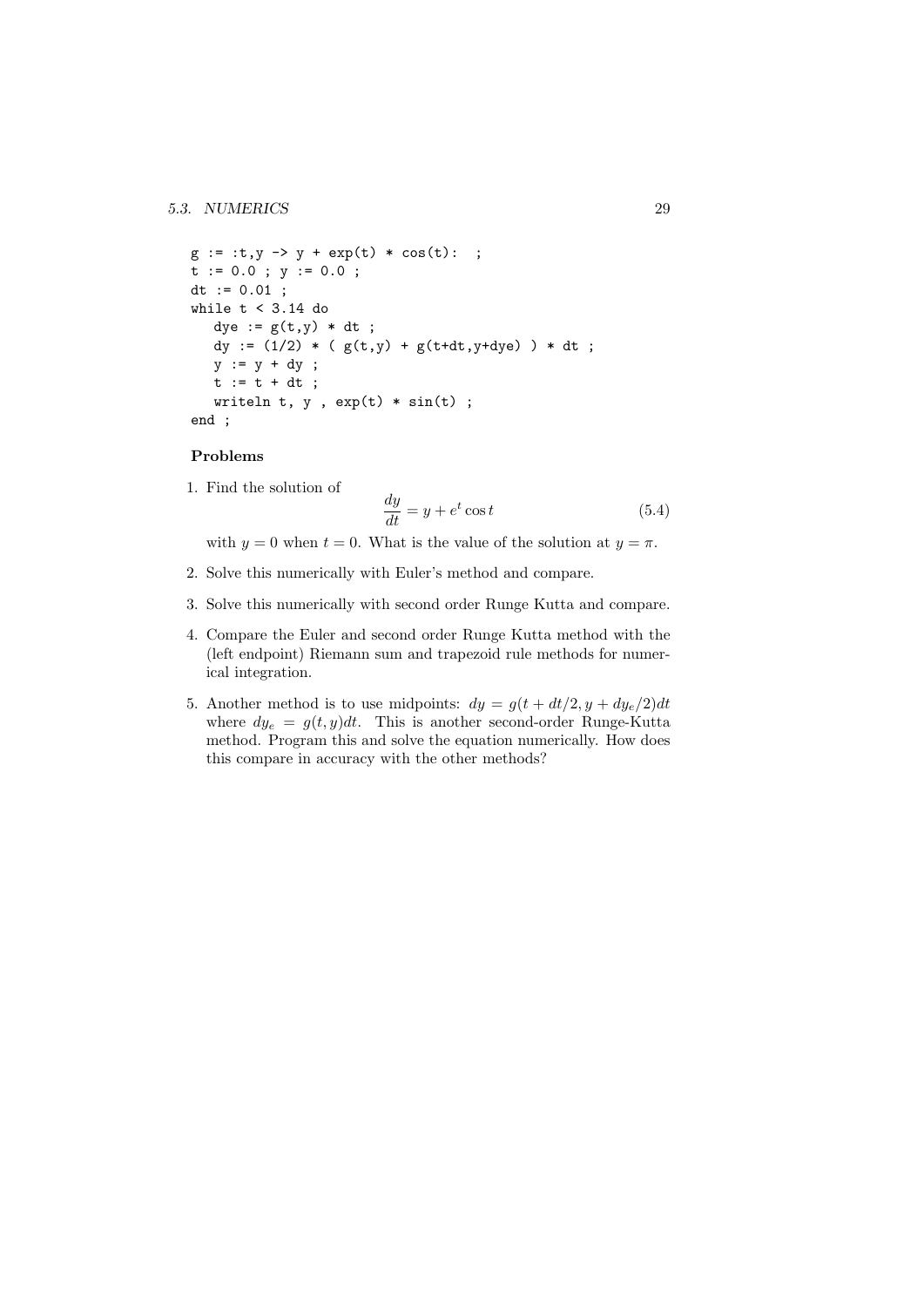#### 5.3. NUMERICS 29

```
g := t, y \rightarrow y + exp(t) * cos(t):t := 0.0; y := 0.0;
dt := 0.01 ;
while t < 3.14 do
   dye := g(t,y) * dt ;
   dy := (1/2) * (g(t,y) + g(t+dt,y+dye) ) * dt ;y := y + dy;
   t := t + dt ;writeln t, y, exp(t) * sin(t);
end ;
```
#### Problems

1. Find the solution of

$$
\frac{dy}{dt} = y + e^t \cos t \tag{5.4}
$$

with  $y = 0$  when  $t = 0$ . What is the value of the solution at  $y = \pi$ .

- 2. Solve this numerically with Euler's method and compare.
- 3. Solve this numerically with second order Runge Kutta and compare.
- 4. Compare the Euler and second order Runge Kutta method with the (left endpoint) Riemann sum and trapezoid rule methods for numerical integration.
- 5. Another method is to use midpoints:  $dy = g(t + dt/2, y + dy_e/2)dt$ where  $dy_e = g(t, y)dt$ . This is another second-order Runge-Kutta method. Program this and solve the equation numerically. How does this compare in accuracy with the other methods?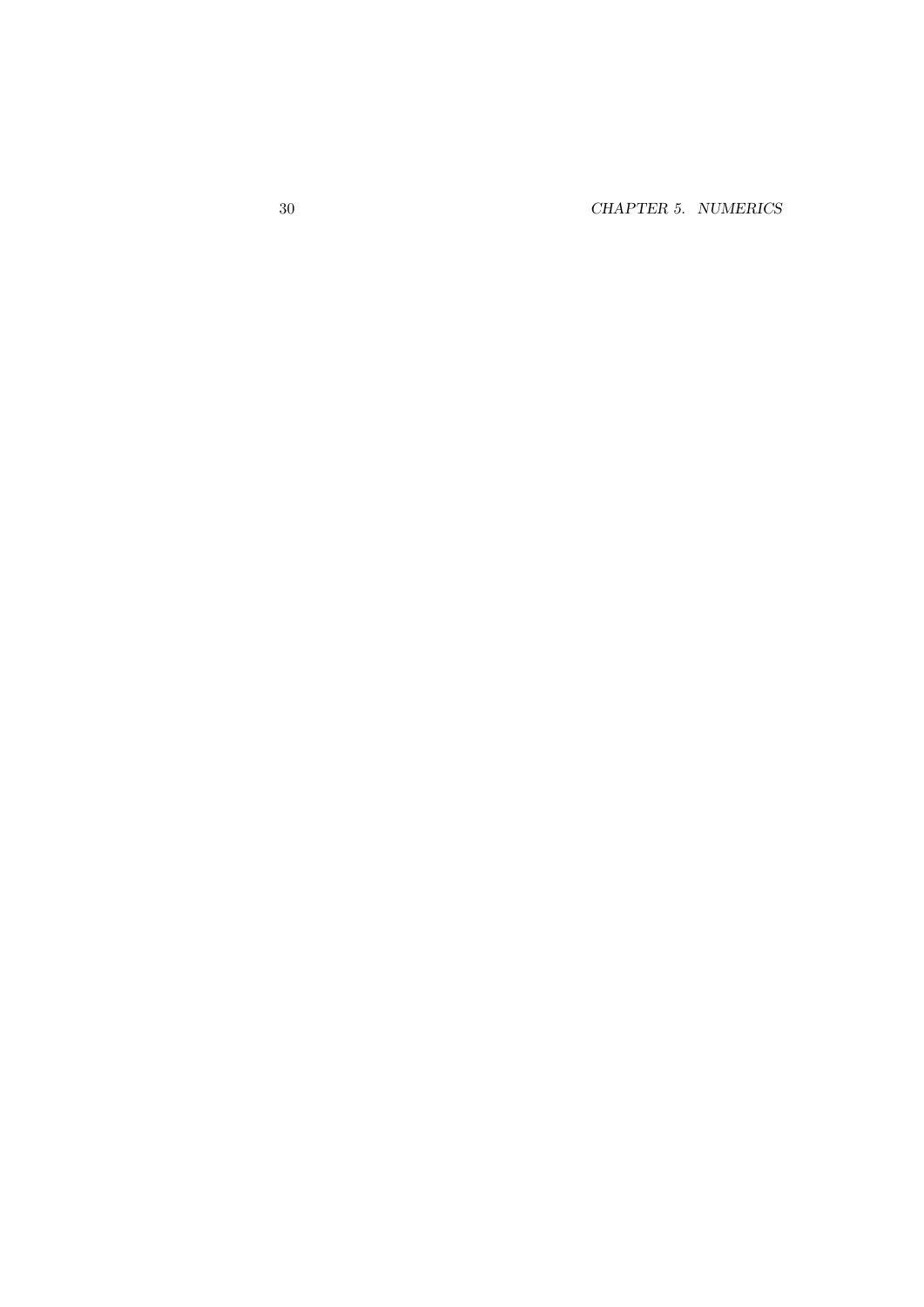$\begin{tabular}{ll} 30 & \hspace{1.5cm} \textbf{CHAPTER 5.} \hspace{1.2cm} \textbf{NUMBERS} \end{tabular}$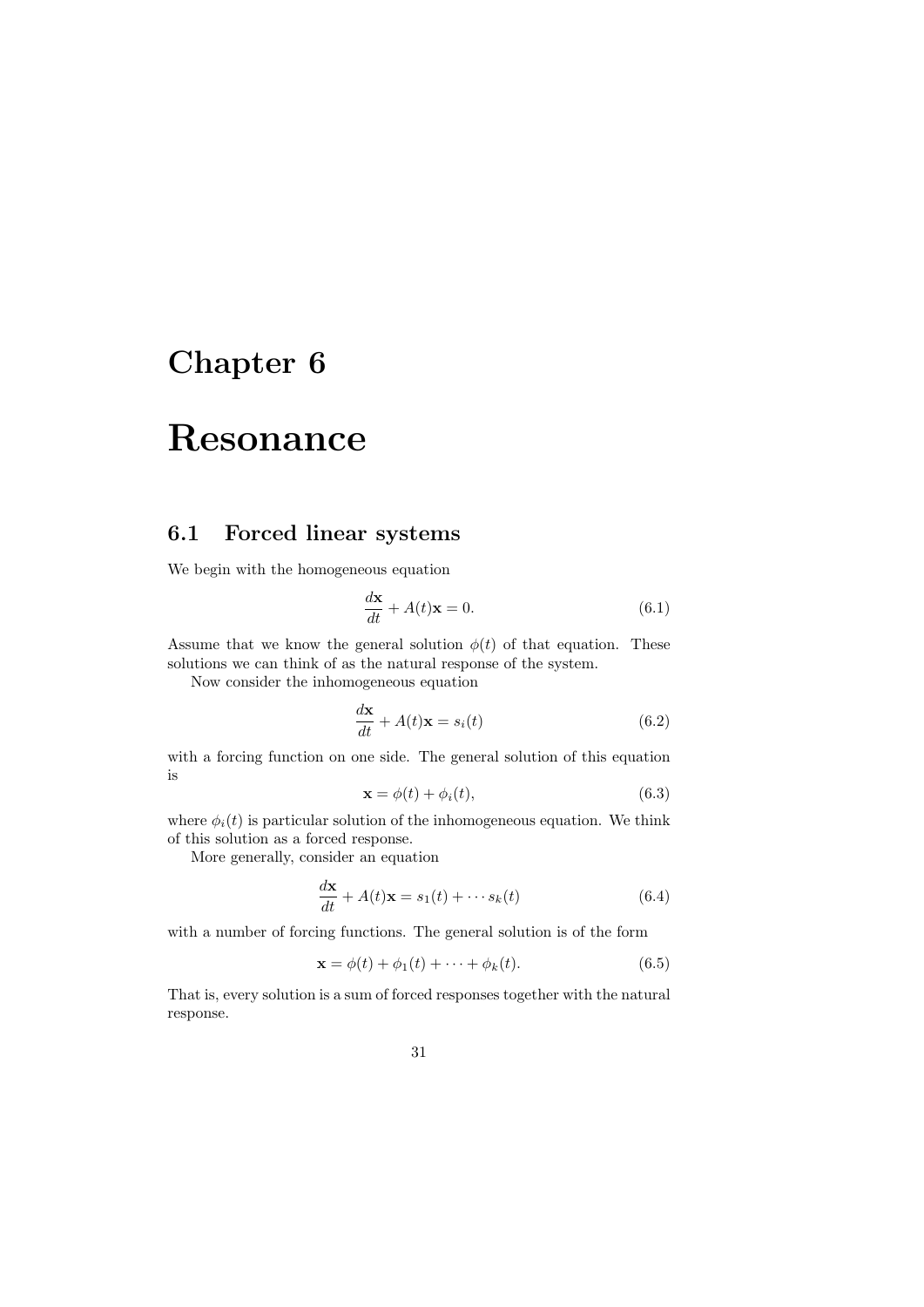## Chapter 6

# Resonance

## 6.1 Forced linear systems

We begin with the homogeneous equation

$$
\frac{d\mathbf{x}}{dt} + A(t)\mathbf{x} = 0.
$$
\n(6.1)

Assume that we know the general solution  $\phi(t)$  of that equation. These solutions we can think of as the natural response of the system.

Now consider the inhomogeneous equation

$$
\frac{d\mathbf{x}}{dt} + A(t)\mathbf{x} = s_i(t) \tag{6.2}
$$

with a forcing function on one side. The general solution of this equation is

$$
\mathbf{x} = \phi(t) + \phi_i(t),\tag{6.3}
$$

where  $\phi_i(t)$  is particular solution of the inhomogeneous equation. We think of this solution as a forced response.

More generally, consider an equation

$$
\frac{d\mathbf{x}}{dt} + A(t)\mathbf{x} = s_1(t) + \cdots s_k(t)
$$
\n(6.4)

with a number of forcing functions. The general solution is of the form

$$
\mathbf{x} = \phi(t) + \phi_1(t) + \dots + \phi_k(t). \tag{6.5}
$$

That is, every solution is a sum of forced responses together with the natural response.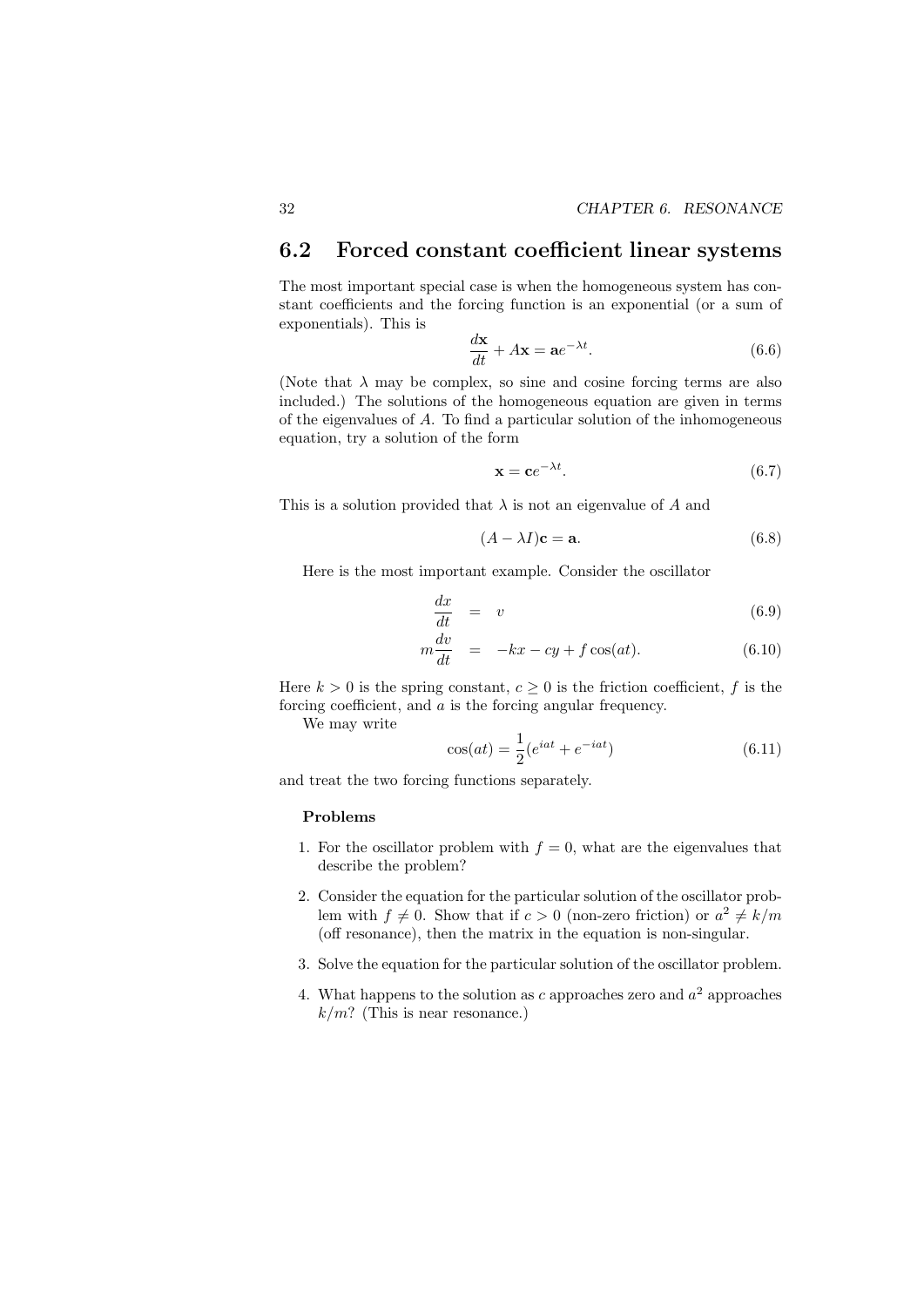## 6.2 Forced constant coefficient linear systems

The most important special case is when the homogeneous system has constant coefficients and the forcing function is an exponential (or a sum of exponentials). This is

$$
\frac{d\mathbf{x}}{dt} + A\mathbf{x} = \mathbf{a}e^{-\lambda t}.\tag{6.6}
$$

(Note that  $\lambda$  may be complex, so sine and cosine forcing terms are also included.) The solutions of the homogeneous equation are given in terms of the eigenvalues of A. To find a particular solution of the inhomogeneous equation, try a solution of the form

$$
\mathbf{x} = \mathbf{c}e^{-\lambda t}.\tag{6.7}
$$

This is a solution provided that  $\lambda$  is not an eigenvalue of A and

$$
(A - \lambda I)\mathbf{c} = \mathbf{a}.\tag{6.8}
$$

Here is the most important example. Consider the oscillator

$$
\frac{dx}{dt} = v \tag{6.9}
$$

$$
m\frac{dv}{dt} = -kx - cy + f\cos(at). \qquad (6.10)
$$

Here  $k > 0$  is the spring constant,  $c \geq 0$  is the friction coefficient, f is the forcing coefficient, and a is the forcing angular frequency.

We may write

$$
\cos(at) = \frac{1}{2}(e^{iat} + e^{-iat})
$$
\n(6.11)

and treat the two forcing functions separately.

#### Problems

- 1. For the oscillator problem with  $f = 0$ , what are the eigenvalues that describe the problem?
- 2. Consider the equation for the particular solution of the oscillator problem with  $f \neq 0$ . Show that if  $c > 0$  (non-zero friction) or  $a^2 \neq k/m$ (off resonance), then the matrix in the equation is non-singular.
- 3. Solve the equation for the particular solution of the oscillator problem.
- 4. What happens to the solution as c approaches zero and  $a^2$  approaches  $k/m$ ? (This is near resonance.)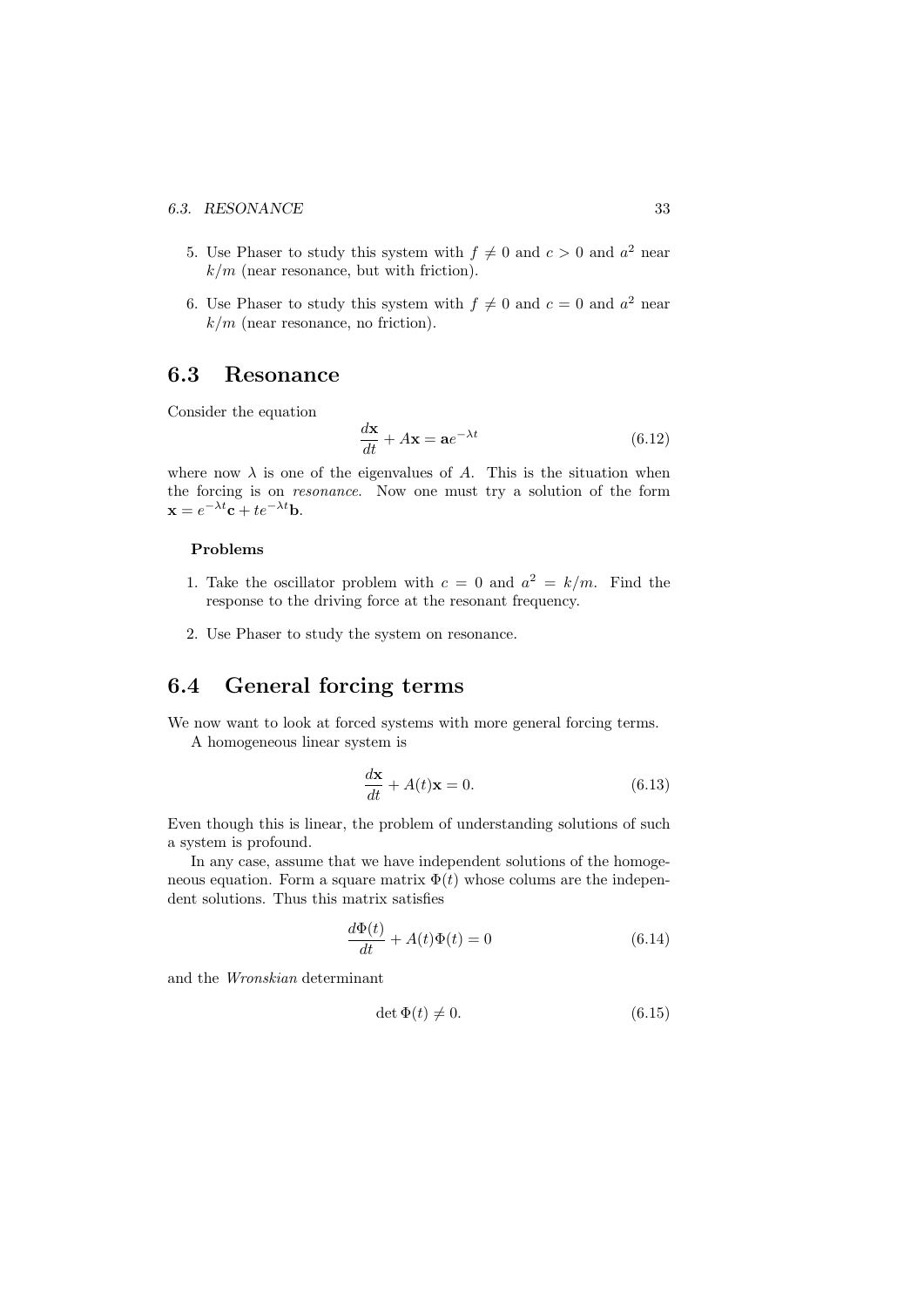- 5. Use Phaser to study this system with  $f \neq 0$  and  $c > 0$  and  $a^2$  near  $k/m$  (near resonance, but with friction).
- 6. Use Phaser to study this system with  $f \neq 0$  and  $c = 0$  and  $a^2$  near  $k/m$  (near resonance, no friction).

## 6.3 Resonance

Consider the equation

$$
\frac{d\mathbf{x}}{dt} + A\mathbf{x} = \mathbf{a}e^{-\lambda t}
$$
 (6.12)

where now  $\lambda$  is one of the eigenvalues of A. This is the situation when the forcing is on resonance. Now one must try a solution of the form  $\mathbf{x} = e^{-\lambda t} \mathbf{c} + t e^{-\lambda t} \mathbf{b}.$ 

#### Problems

- 1. Take the oscillator problem with  $c = 0$  and  $a^2 = k/m$ . Find the response to the driving force at the resonant frequency.
- 2. Use Phaser to study the system on resonance.

## 6.4 General forcing terms

We now want to look at forced systems with more general forcing terms.

A homogeneous linear system is

$$
\frac{d\mathbf{x}}{dt} + A(t)\mathbf{x} = 0.
$$
\n(6.13)

Even though this is linear, the problem of understanding solutions of such a system is profound.

In any case, assume that we have independent solutions of the homogeneous equation. Form a square matrix  $\Phi(t)$  whose colums are the independent solutions. Thus this matrix satisfies

$$
\frac{d\Phi(t)}{dt} + A(t)\Phi(t) = 0\tag{6.14}
$$

and the Wronskian determinant

$$
\det \Phi(t) \neq 0. \tag{6.15}
$$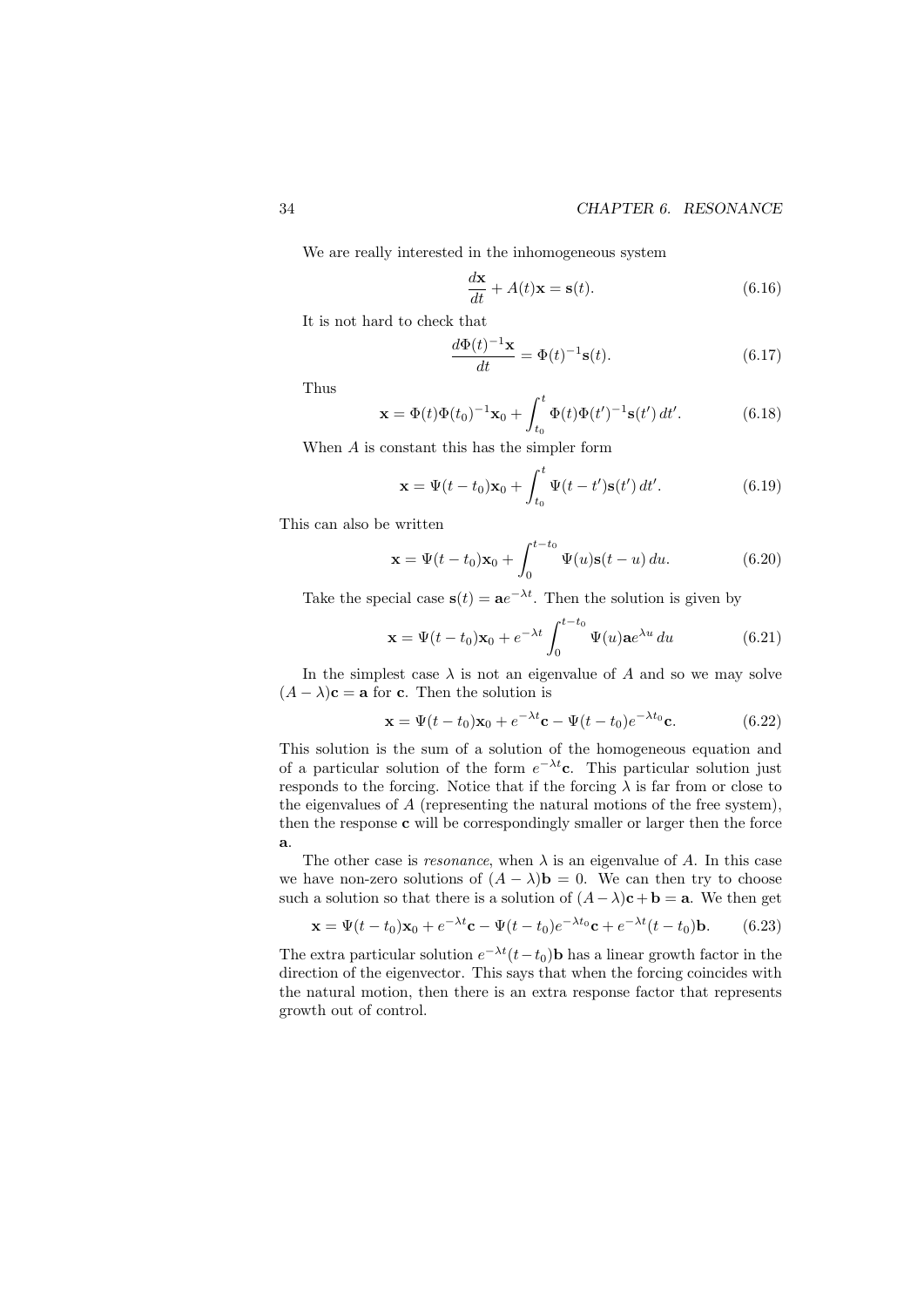We are really interested in the inhomogeneous system

$$
\frac{d\mathbf{x}}{dt} + A(t)\mathbf{x} = \mathbf{s}(t). \tag{6.16}
$$

It is not hard to check that

$$
\frac{d\Phi(t)^{-1}\mathbf{x}}{dt} = \Phi(t)^{-1}\mathbf{s}(t). \tag{6.17}
$$

Thus

$$
\mathbf{x} = \Phi(t)\Phi(t_0)^{-1}\mathbf{x}_0 + \int_{t_0}^t \Phi(t)\Phi(t')^{-1}\mathbf{s}(t') dt'. \tag{6.18}
$$

When A is constant this has the simpler form

$$
\mathbf{x} = \Psi(t - t_0)\mathbf{x}_0 + \int_{t_0}^t \Psi(t - t')\mathbf{s}(t') dt'.
$$
 (6.19)

This can also be written

$$
\mathbf{x} = \Psi(t - t_0)\mathbf{x}_0 + \int_0^{t - t_0} \Psi(u)\mathbf{s}(t - u) du.
$$
 (6.20)

Take the special case  $s(t) = ae^{-\lambda t}$ . Then the solution is given by

$$
\mathbf{x} = \Psi(t - t_0)\mathbf{x}_0 + e^{-\lambda t} \int_0^{t - t_0} \Psi(u)\mathbf{a} e^{\lambda u} du \qquad (6.21)
$$

In the simplest case  $\lambda$  is not an eigenvalue of A and so we may solve  $(A - \lambda)\mathbf{c} = \mathbf{a}$  for **c**. Then the solution is

$$
\mathbf{x} = \Psi(t - t_0)\mathbf{x}_0 + e^{-\lambda t}\mathbf{c} - \Psi(t - t_0)e^{-\lambda t_0}\mathbf{c}.
$$
 (6.22)

This solution is the sum of a solution of the homogeneous equation and of a particular solution of the form  $e^{-\lambda t}$ **c**. This particular solution just responds to the forcing. Notice that if the forcing  $\lambda$  is far from or close to the eigenvalues of A (representing the natural motions of the free system), then the response c will be correspondingly smaller or larger then the force a.

The other case is *resonance*, when  $\lambda$  is an eigenvalue of A. In this case we have non-zero solutions of  $(A - \lambda)\mathbf{b} = 0$ . We can then try to choose such a solution so that there is a solution of  $(A - \lambda)\mathbf{c} + \mathbf{b} = \mathbf{a}$ . We then get

$$
\mathbf{x} = \Psi(t - t_0)\mathbf{x}_0 + e^{-\lambda t}\mathbf{c} - \Psi(t - t_0)e^{-\lambda t_0}\mathbf{c} + e^{-\lambda t}(t - t_0)\mathbf{b}.
$$
 (6.23)

The extra particular solution  $e^{-\lambda t}(t-t_0)$ **b** has a linear growth factor in the direction of the eigenvector. This says that when the forcing coincides with the natural motion, then there is an extra response factor that represents growth out of control.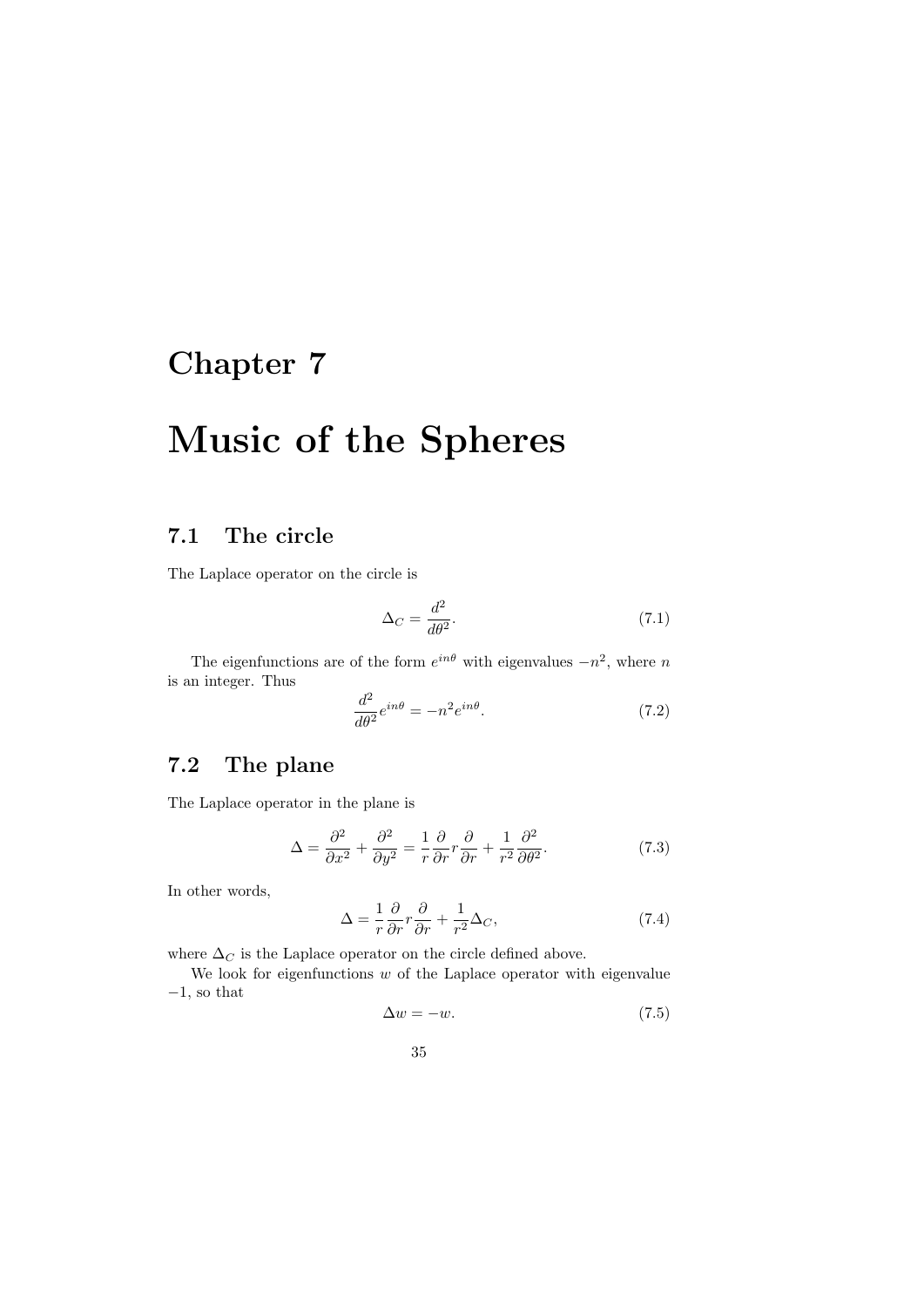## Chapter 7

# Music of the Spheres

## 7.1 The circle

The Laplace operator on the circle is

$$
\Delta_C = \frac{d^2}{d\theta^2}.\tag{7.1}
$$

The eigenfunctions are of the form  $e^{in\theta}$  with eigenvalues  $-n^2$ , where n is an integer. Thus

$$
\frac{d^2}{d\theta^2}e^{in\theta} = -n^2e^{in\theta}.\tag{7.2}
$$

## 7.2 The plane

The Laplace operator in the plane is

$$
\Delta = \frac{\partial^2}{\partial x^2} + \frac{\partial^2}{\partial y^2} = \frac{1}{r} \frac{\partial}{\partial r} r \frac{\partial}{\partial r} + \frac{1}{r^2} \frac{\partial^2}{\partial \theta^2}.
$$
 (7.3)

In other words,

$$
\Delta = \frac{1}{r} \frac{\partial}{\partial r} r \frac{\partial}{\partial r} + \frac{1}{r^2} \Delta_C, \tag{7.4}
$$

where  $\Delta_C$  is the Laplace operator on the circle defined above.

We look for eigenfunctions  $w$  of the Laplace operator with eigenvalue −1, so that

$$
\Delta w = -w.\tag{7.5}
$$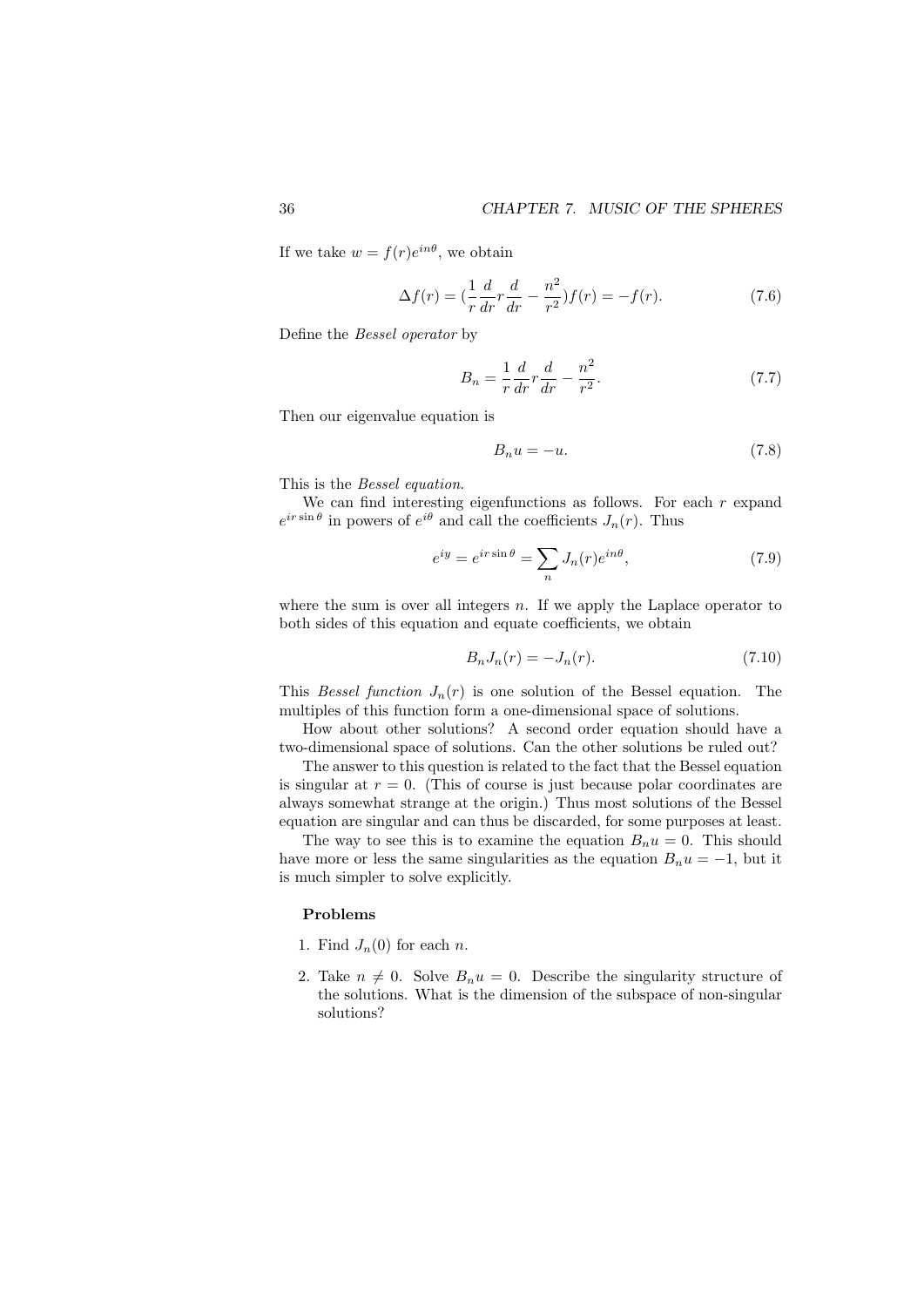If we take  $w = f(r)e^{in\theta}$ , we obtain

$$
\Delta f(r) = \left(\frac{1}{r}\frac{d}{dr}r\frac{d}{dr} - \frac{n^2}{r^2}\right)f(r) = -f(r). \tag{7.6}
$$

Define the Bessel operator by

$$
B_n = \frac{1}{r} \frac{d}{dr} r \frac{d}{dr} - \frac{n^2}{r^2}.
$$
 (7.7)

Then our eigenvalue equation is

$$
B_n u = -u.\t\t(7.8)
$$

This is the *Bessel equation*.

We can find interesting eigenfunctions as follows. For each  $r$  expand  $e^{ir\sin\theta}$  in powers of  $e^{i\theta}$  and call the coefficients  $J_n(r)$ . Thus

$$
e^{iy} = e^{ir\sin\theta} = \sum_{n} J_n(r)e^{in\theta},\tag{7.9}
$$

where the sum is over all integers  $n$ . If we apply the Laplace operator to both sides of this equation and equate coefficients, we obtain

$$
B_n J_n(r) = -J_n(r). \t\t(7.10)
$$

This Bessel function  $J_n(r)$  is one solution of the Bessel equation. The multiples of this function form a one-dimensional space of solutions.

How about other solutions? A second order equation should have a two-dimensional space of solutions. Can the other solutions be ruled out?

The answer to this question is related to the fact that the Bessel equation is singular at  $r = 0$ . (This of course is just because polar coordinates are always somewhat strange at the origin.) Thus most solutions of the Bessel equation are singular and can thus be discarded, for some purposes at least.

The way to see this is to examine the equation  $B_nu = 0$ . This should have more or less the same singularities as the equation  $B_nu = -1$ , but it is much simpler to solve explicitly.

#### Problems

- 1. Find  $J_n(0)$  for each n.
- 2. Take  $n \neq 0$ . Solve  $B_nu = 0$ . Describe the singularity structure of the solutions. What is the dimension of the subspace of non-singular solutions?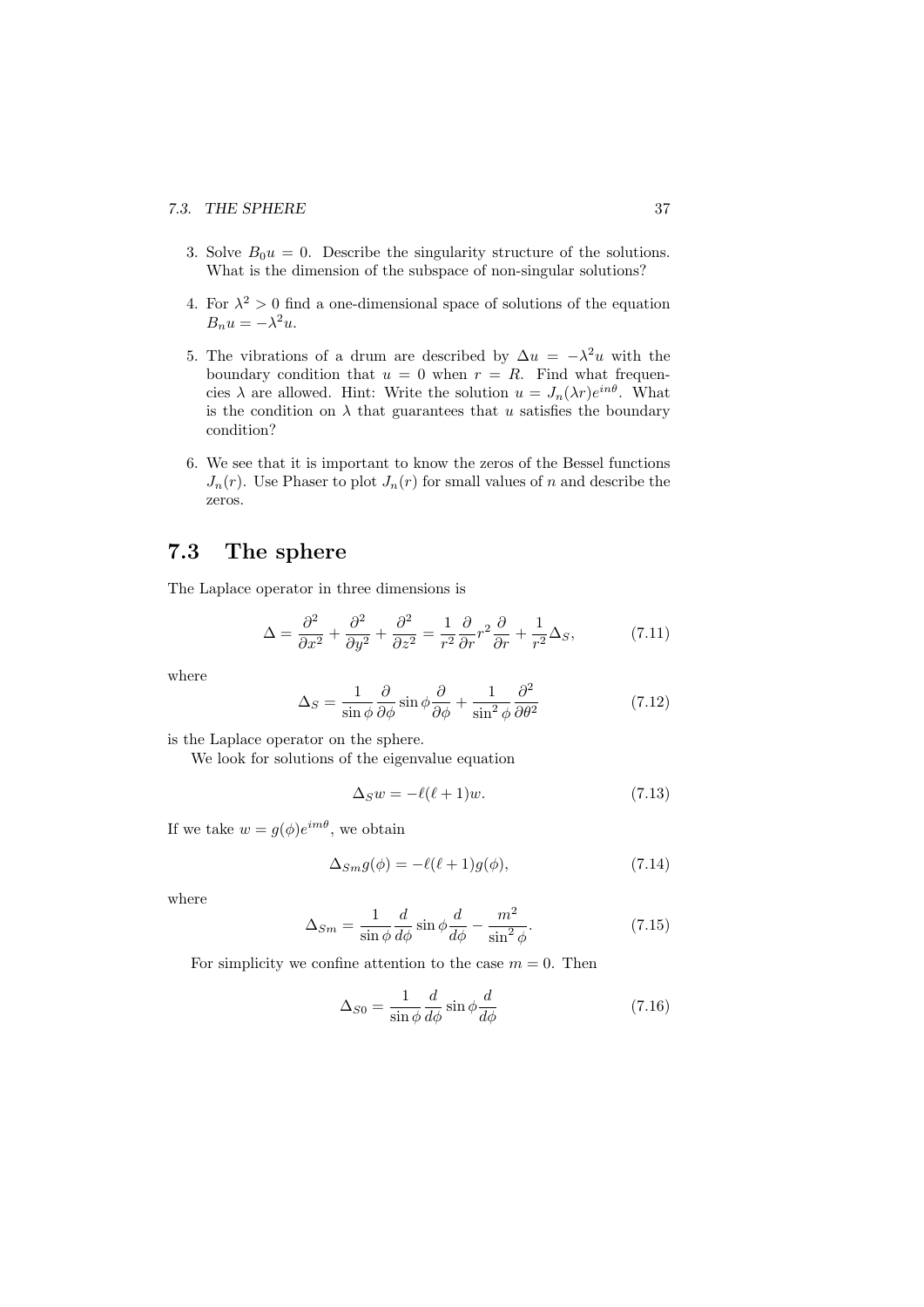#### 7.3. THE SPHERE 37

- 3. Solve  $B_0u = 0$ . Describe the singularity structure of the solutions. What is the dimension of the subspace of non-singular solutions?
- 4. For  $\lambda^2 > 0$  find a one-dimensional space of solutions of the equation  $B_n u = -\lambda^2 u.$
- 5. The vibrations of a drum are described by  $\Delta u = -\lambda^2 u$  with the boundary condition that  $u = 0$  when  $r = R$ . Find what frequencies  $\lambda$  are allowed. Hint: Write the solution  $u = J_n(\lambda r) e^{in\theta}$ . What is the condition on  $\lambda$  that guarantees that u satisfies the boundary condition?
- 6. We see that it is important to know the zeros of the Bessel functions  $J_n(r)$ . Use Phaser to plot  $J_n(r)$  for small values of n and describe the zeros.

## 7.3 The sphere

The Laplace operator in three dimensions is

$$
\Delta = \frac{\partial^2}{\partial x^2} + \frac{\partial^2}{\partial y^2} + \frac{\partial^2}{\partial z^2} = \frac{1}{r^2} \frac{\partial}{\partial r} r^2 \frac{\partial}{\partial r} + \frac{1}{r^2} \Delta_S,
$$
(7.11)

where

$$
\Delta_S = \frac{1}{\sin \phi} \frac{\partial}{\partial \phi} \sin \phi \frac{\partial}{\partial \phi} + \frac{1}{\sin^2 \phi} \frac{\partial^2}{\partial \theta^2}
$$
(7.12)

is the Laplace operator on the sphere.

We look for solutions of the eigenvalue equation

$$
\Delta_S w = -\ell(\ell+1)w.\tag{7.13}
$$

If we take  $w = g(\phi)e^{im\theta}$ , we obtain

$$
\Delta_{Sm}g(\phi) = -\ell(\ell+1)g(\phi),\tag{7.14}
$$

where

$$
\Delta_{Sm} = \frac{1}{\sin \phi} \frac{d}{d\phi} \sin \phi \frac{d}{d\phi} - \frac{m^2}{\sin^2 \phi}.
$$
\n(7.15)

For simplicity we confine attention to the case  $m = 0$ . Then

$$
\Delta_{S0} = \frac{1}{\sin \phi} \frac{d}{d\phi} \sin \phi \frac{d}{d\phi} \tag{7.16}
$$